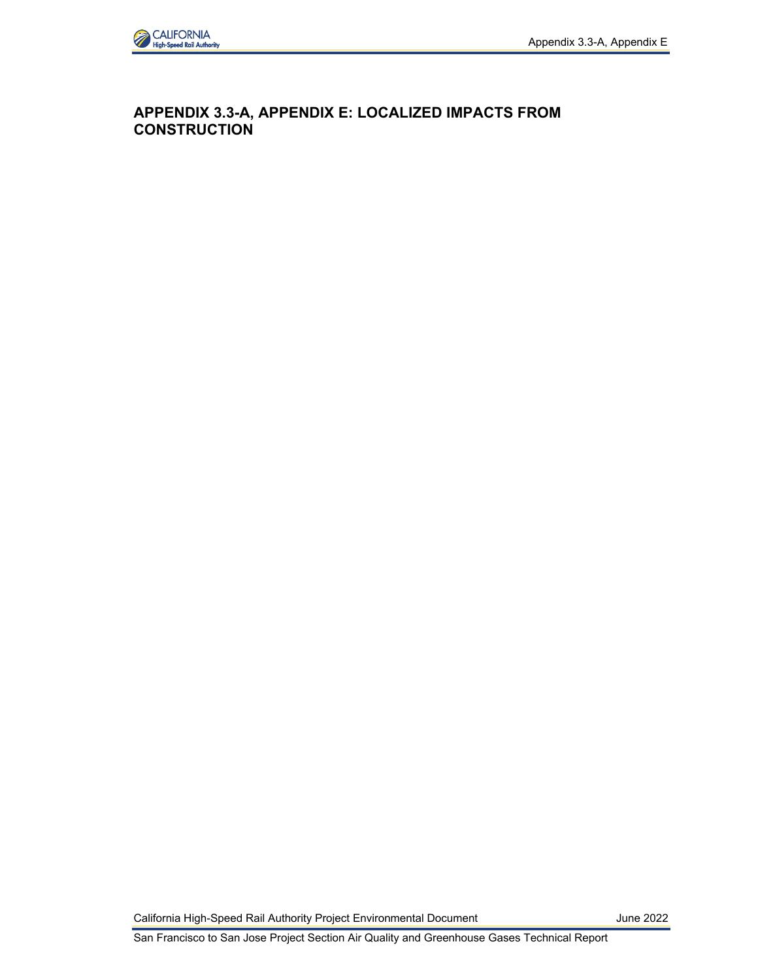

## **APPENDIX 3.3-A, APPENDIX E: LOCALIZED IMPACTS FROM CONSTRUCTION**

California High-Speed Rail Authority Project Environmental Document June 2022

San Francisco to San Jose Project Section Air Quality and Greenhouse Gases Technical Report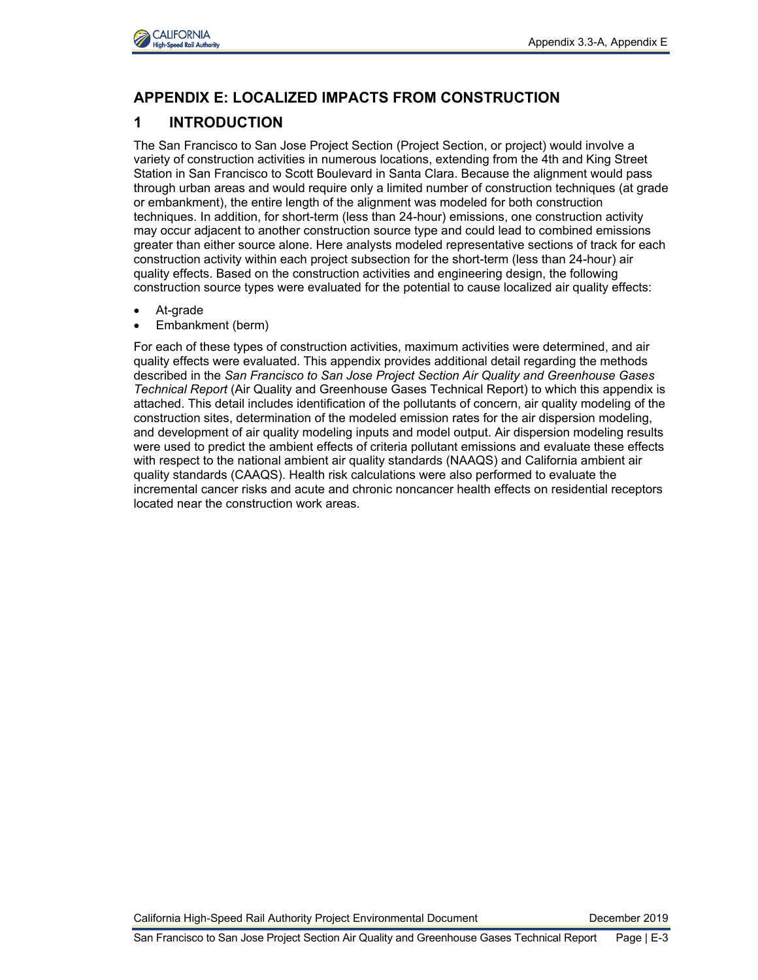

# **APPENDIX E: LOCALIZED IMPACTS FROM CONSTRUCTION**

# **1 INTRODUCTION**

The San Francisco to San Jose Project Section (Project Section, or project) would involve a variety of construction activities in numerous locations, extending from the 4th and King Street Station in San Francisco to Scott Boulevard in Santa Clara. Because the alignment would pass through urban areas and would require only a limited number of construction techniques (at grade or embankment), the entire length of the alignment was modeled for both construction techniques. In addition, for short-term (less than 24-hour) emissions, one construction activity may occur adjacent to another construction source type and could lead to combined emissions greater than either source alone. Here analysts modeled representative sections of track for each construction activity within each project subsection for the short-term (less than 24-hour) air quality effects. Based on the construction activities and engineering design, the following construction source types were evaluated for the potential to cause localized air quality effects:

- At-grade
- Embankment (berm)

For each of these types of construction activities, maximum activities were determined, and air quality effects were evaluated. This appendix provides additional detail regarding the methods described in the *San Francisco to San Jose Project Section Air Quality and Greenhouse Gases Technical Report* (Air Quality and Greenhouse Gases Technical Report) to which this appendix is attached. This detail includes identification of the pollutants of concern, air quality modeling of the construction sites, determination of the modeled emission rates for the air dispersion modeling, and development of air quality modeling inputs and model output. Air dispersion modeling results were used to predict the ambient effects of criteria pollutant emissions and evaluate these effects with respect to the national ambient air quality standards (NAAQS) and California ambient air quality standards (CAAQS). Health risk calculations were also performed to evaluate the incremental cancer risks and acute and chronic noncancer health effects on residential receptors located near the construction work areas.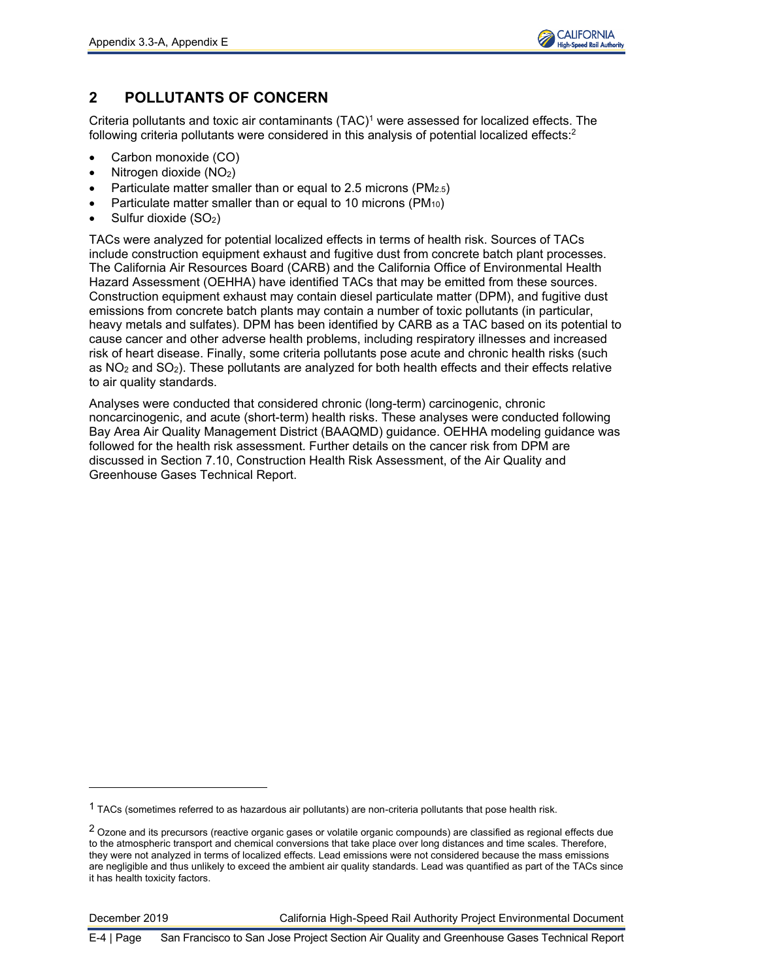

# **2 POLLUTANTS OF CONCERN**

Criteria pollutants and toxic air contaminants (TAC)<sup>1</sup> were assessed for localized effects. The following criteria pollutants were considered in this analysis of potential localized effects: $^{\text{2}}$ 

- Carbon monoxide (CO)
- Nitrogen dioxide  $(NO<sub>2</sub>)$
- Particulate matter smaller than or equal to 2.5 microns (PM2.5)
- Particulate matter smaller than or equal to 10 microns ( $PM_{10}$ )
- Sulfur dioxide (SO<sub>2</sub>)

TACs were analyzed for potential localized effects in terms of health risk. Sources of TACs include construction equipment exhaust and fugitive dust from concrete batch plant processes. The California Air Resources Board (CARB) and the California Office of Environmental Health Hazard Assessment (OEHHA) have identified TACs that may be emitted from these sources. Construction equipment exhaust may contain diesel particulate matter (DPM), and fugitive dust emissions from concrete batch plants may contain a number of toxic pollutants (in particular, heavy metals and sulfates). DPM has been identified by CARB as a TAC based on its potential to cause cancer and other adverse health problems, including respiratory illnesses and increased risk of heart disease. Finally, some criteria pollutants pose acute and chronic health risks (such as  $NO<sub>2</sub>$  and  $SO<sub>2</sub>$ ). These pollutants are analyzed for both health effects and their effects relative to air quality standards.

Analyses were conducted that considered chronic (long-term) carcinogenic, chronic noncarcinogenic, and acute (short-term) health risks. These analyses were conducted following Bay Area Air Quality Management District (BAAQMD) guidance. OEHHA modeling guidance was followed for the health risk assessment. Further details on the cancer risk from DPM are discussed in Section 7.10, Construction Health Risk Assessment, of the Air Quality and Greenhouse Gases Technical Report.

<sup>1</sup> TACs (sometimes referred to as hazardous air pollutants) are non-criteria pollutants that pose health risk.

<sup>&</sup>lt;sup>2</sup> Ozone and its precursors (reactive organic gases or volatile organic compounds) are classified as regional effects due to the atmospheric transport and chemical conversions that take place over long distances and time scales. Therefore, they were not analyzed in terms of localized effects. Lead emissions were not considered because the mass emissions are negligible and thus unlikely to exceed the ambient air quality standards. Lead was quantified as part of the TACs since it has health toxicity factors.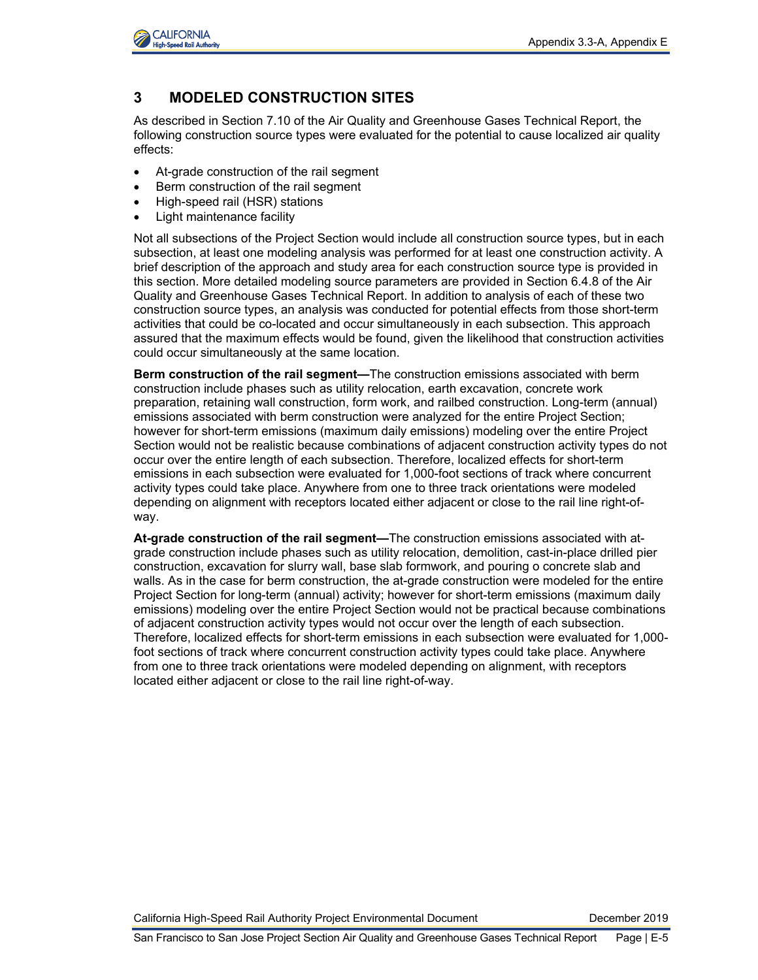

# **3 MODELED CONSTRUCTION SITES**

As described in Section 7.10 of the Air Quality and Greenhouse Gases Technical Report, the following construction source types were evaluated for the potential to cause localized air quality effects:

- At-grade construction of the rail segment
- Berm construction of the rail segment
- High-speed rail (HSR) stations
- Light maintenance facility

Not all subsections of the Project Section would include all construction source types, but in each subsection, at least one modeling analysis was performed for at least one construction activity. A brief description of the approach and study area for each construction source type is provided in this section. More detailed modeling source parameters are provided in Section 6.4.8 of the Air Quality and Greenhouse Gases Technical Report. In addition to analysis of each of these two construction source types, an analysis was conducted for potential effects from those short-term activities that could be co-located and occur simultaneously in each subsection. This approach assured that the maximum effects would be found, given the likelihood that construction activities could occur simultaneously at the same location.

**Berm construction of the rail segment—**The construction emissions associated with berm construction include phases such as utility relocation, earth excavation, concrete work preparation, retaining wall construction, form work, and railbed construction. Long-term (annual) emissions associated with berm construction were analyzed for the entire Project Section; however for short-term emissions (maximum daily emissions) modeling over the entire Project Section would not be realistic because combinations of adjacent construction activity types do not occur over the entire length of each subsection. Therefore, localized effects for short-term emissions in each subsection were evaluated for 1,000-foot sections of track where concurrent activity types could take place. Anywhere from one to three track orientations were modeled depending on alignment with receptors located either adjacent or close to the rail line right-ofway.

**At-grade construction of the rail segment—**The construction emissions associated with atgrade construction include phases such as utility relocation, demolition, cast-in-place drilled pier construction, excavation for slurry wall, base slab formwork, and pouring o concrete slab and walls. As in the case for berm construction, the at-grade construction were modeled for the entire Project Section for long-term (annual) activity; however for short-term emissions (maximum daily emissions) modeling over the entire Project Section would not be practical because combinations of adjacent construction activity types would not occur over the length of each subsection. Therefore, localized effects for short-term emissions in each subsection were evaluated for 1,000 foot sections of track where concurrent construction activity types could take place. Anywhere from one to three track orientations were modeled depending on alignment, with receptors located either adjacent or close to the rail line right-of-way.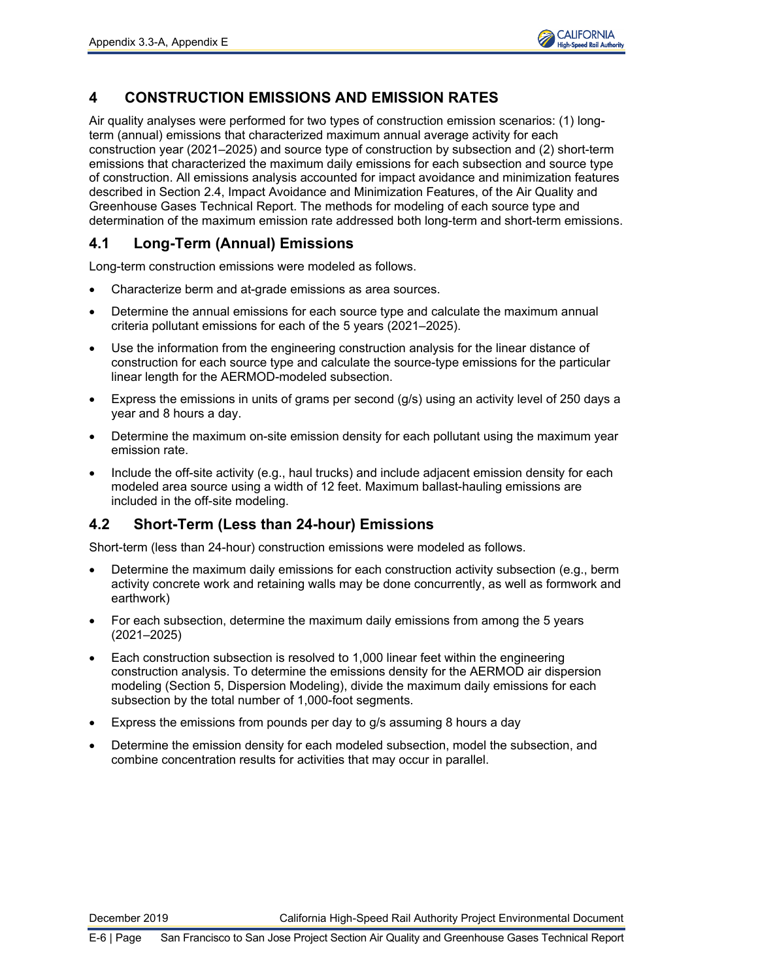

# **4 CONSTRUCTION EMISSIONS AND EMISSION RATES**

Air quality analyses were performed for two types of construction emission scenarios: (1) longterm (annual) emissions that characterized maximum annual average activity for each construction year (2021–2025) and source type of construction by subsection and (2) short-term emissions that characterized the maximum daily emissions for each subsection and source type of construction. All emissions analysis accounted for impact avoidance and minimization features described in Section 2.4, Impact Avoidance and Minimization Features, of the Air Quality and Greenhouse Gases Technical Report. The methods for modeling of each source type and determination of the maximum emission rate addressed both long-term and short-term emissions.

# **4.1 Long-Term (Annual) Emissions**

Long-term construction emissions were modeled as follows.

- Characterize berm and at-grade emissions as area sources.
- Determine the annual emissions for each source type and calculate the maximum annual criteria pollutant emissions for each of the 5 years (2021–2025).
- Use the information from the engineering construction analysis for the linear distance of construction for each source type and calculate the source-type emissions for the particular linear length for the AERMOD-modeled subsection.
- Express the emissions in units of grams per second (g/s) using an activity level of 250 days a year and 8 hours a day.
- Determine the maximum on-site emission density for each pollutant using the maximum year emission rate.
- Include the off-site activity (e.g., haul trucks) and include adjacent emission density for each modeled area source using a width of 12 feet. Maximum ballast-hauling emissions are included in the off-site modeling.

# **4.2 Short-Term (Less than 24-hour) Emissions**

Short-term (less than 24-hour) construction emissions were modeled as follows.

- Determine the maximum daily emissions for each construction activity subsection (e.g., berm activity concrete work and retaining walls may be done concurrently, as well as formwork and earthwork)
- For each subsection, determine the maximum daily emissions from among the 5 years (2021–2025)
- Each construction subsection is resolved to 1,000 linear feet within the engineering construction analysis. To determine the emissions density for the AERMOD air dispersion modeling (Section 5, Dispersion Modeling), divide the maximum daily emissions for each subsection by the total number of 1,000-foot segments.
- Express the emissions from pounds per day to g/s assuming 8 hours a day
- Determine the emission density for each modeled subsection, model the subsection, and combine concentration results for activities that may occur in parallel.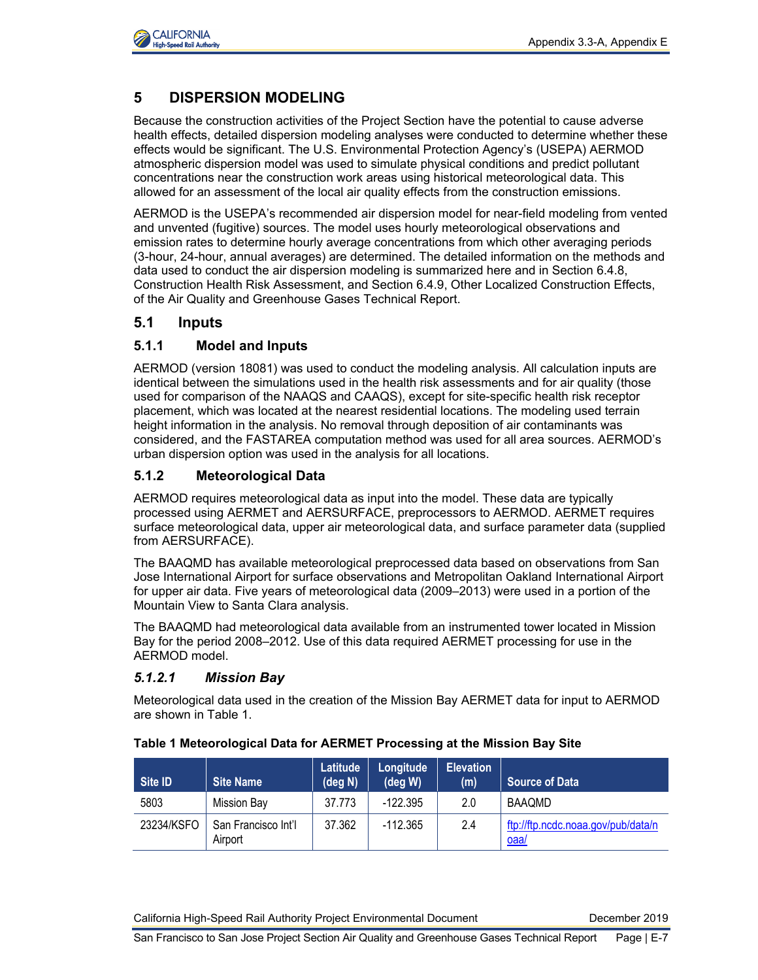

# **5 DISPERSION MODELING**

Because the construction activities of the Project Section have the potential to cause adverse health effects, detailed dispersion modeling analyses were conducted to determine whether these effects would be significant. The U.S. Environmental Protection Agency's (USEPA) AERMOD atmospheric dispersion model was used to simulate physical conditions and predict pollutant concentrations near the construction work areas using historical meteorological data. This allowed for an assessment of the local air quality effects from the construction emissions.

AERMOD is the USEPA's recommended air dispersion model for near-field modeling from vented and unvented (fugitive) sources. The model uses hourly meteorological observations and emission rates to determine hourly average concentrations from which other averaging periods (3-hour, 24-hour, annual averages) are determined. The detailed information on the methods and data used to conduct the air dispersion modeling is summarized here and in Section 6.4.8, Construction Health Risk Assessment, and Section 6.4.9, Other Localized Construction Effects, of the Air Quality and Greenhouse Gases Technical Report.

## **5.1 Inputs**

## **5.1.1 Model and Inputs**

AERMOD (version 18081) was used to conduct the modeling analysis. All calculation inputs are identical between the simulations used in the health risk assessments and for air quality (those used for comparison of the NAAQS and CAAQS), except for site-specific health risk receptor placement, which was located at the nearest residential locations. The modeling used terrain height information in the analysis. No removal through deposition of air contaminants was considered, and the FASTAREA computation method was used for all area sources. AERMOD's urban dispersion option was used in the analysis for all locations.

## **5.1.2 Meteorological Data**

AERMOD requires meteorological data as input into the model. These data are typically processed using AERMET and AERSURFACE, preprocessors to AERMOD. AERMET requires surface meteorological data, upper air meteorological data, and surface parameter data (supplied from AERSURFACE).

The BAAQMD has available meteorological preprocessed data based on observations from San Jose International Airport for surface observations and Metropolitan Oakland International Airport for upper air data. Five years of meteorological data (2009–2013) were used in a portion of the Mountain View to Santa Clara analysis.

The BAAQMD had meteorological data available from an instrumented tower located in Mission Bay for the period 2008–2012. Use of this data required AERMET processing for use in the AERMOD model.

## *5.1.2.1 Mission Bay*

Meteorological data used in the creation of the Mission Bay AERMET data for input to AERMOD are shown in Table 1.

| Site ID    | <b>Site Name</b>               | Latitude<br>$(\text{deg } N)$ | Longitude<br>$(\text{deg } W)$ | <b>Elevation</b><br>(m) | Source of Data                             |
|------------|--------------------------------|-------------------------------|--------------------------------|-------------------------|--------------------------------------------|
| 5803       | <b>Mission Bay</b>             | 37.773                        | $-122.395$                     | 2.0                     | BAAQMD                                     |
| 23234/KSFO | San Francisco Int'l<br>Airport | 37.362                        | $-112.365$                     | 2.4                     | ftp://ftp.ncdc.noaa.gov/pub/data/n<br>oaa/ |

#### **Table 1 Meteorological Data for AERMET Processing at the Mission Bay Site**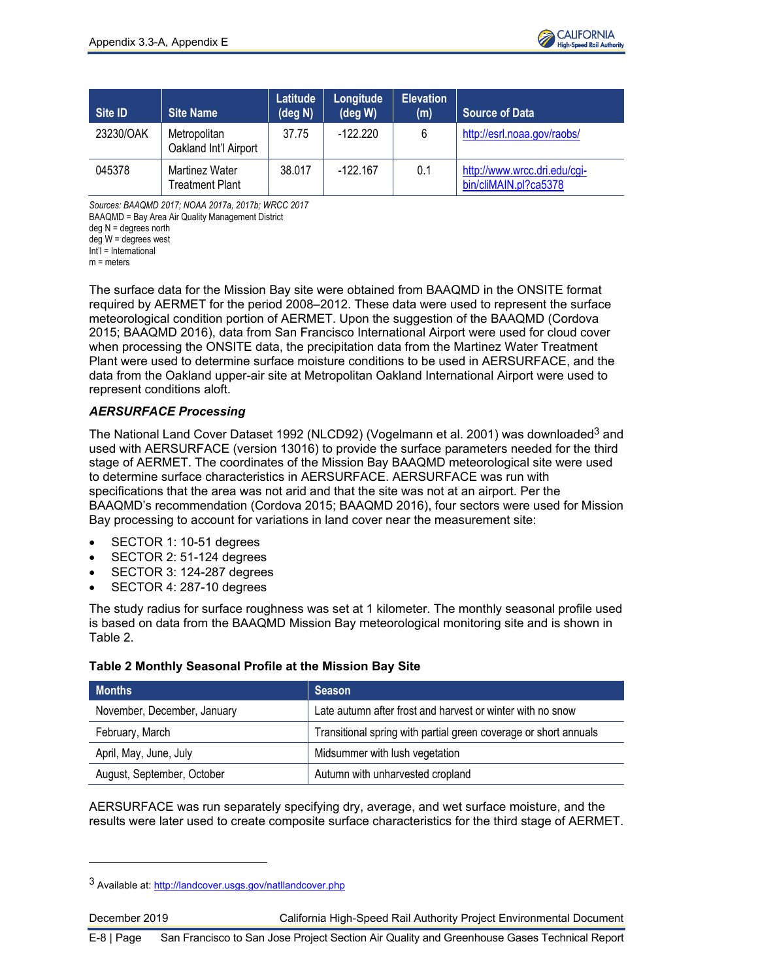

| Site ID   | <b>Site Name</b>                         | Latitude<br>$(\text{deg } N)$ | Longitude<br>$(\text{deg } W)$ | <b>Elevation</b><br>(m) | <b>Source of Data</b>                                 |
|-----------|------------------------------------------|-------------------------------|--------------------------------|-------------------------|-------------------------------------------------------|
| 23230/OAK | Metropolitan<br>Oakland Int'l Airport    | 37.75                         | $-122.220$                     | 6                       | http://esrl.noaa.gov/raobs/                           |
| 045378    | Martinez Water<br><b>Treatment Plant</b> | 38.017                        | $-122.167$                     | 0.1                     | http://www.wrcc.dri.edu/cgi-<br>bin/cliMAIN.pl?ca5378 |

*Sources: BAAQMD 2017; NOAA 2017a, 2017b; WRCC 2017*

BAAQMD = Bay Area Air Quality Management District

deg N = degrees north

deg W = degrees west

Int'l = International

 $m =$  meters

The surface data for the Mission Bay site were obtained from BAAQMD in the ONSITE format required by AERMET for the period 2008–2012. These data were used to represent the surface meteorological condition portion of AERMET. Upon the suggestion of the BAAQMD (Cordova 2015; BAAQMD 2016), data from San Francisco International Airport were used for cloud cover when processing the ONSITE data, the precipitation data from the Martinez Water Treatment Plant were used to determine surface moisture conditions to be used in AERSURFACE, and the data from the Oakland upper-air site at Metropolitan Oakland International Airport were used to represent conditions aloft.

## *AERSURFACE Processing*

The National Land Cover Dataset 1992 (NLCD92) (Vogelmann et al. 2001) was downloaded<sup>3</sup> and used with AERSURFACE (version 13016) to provide the surface parameters needed for the third stage of AERMET. The coordinates of the Mission Bay BAAQMD meteorological site were used to determine surface characteristics in AERSURFACE. AERSURFACE was run with specifications that the area was not arid and that the site was not at an airport. Per the BAAQMD's recommendation (Cordova 2015; BAAQMD 2016), four sectors were used for Mission Bay processing to account for variations in land cover near the measurement site:

- SECTOR 1: 10-51 degrees
- SECTOR 2: 51-124 degrees
- SECTOR 3: 124-287 degrees
- SECTOR 4: 287-10 degrees

The study radius for surface roughness was set at 1 kilometer. The monthly seasonal profile used is based on data from the BAAQMD Mission Bay meteorological monitoring site and is shown in Table 2.

#### **Table 2 Monthly Seasonal Profile at the Mission Bay Site**

| <b>Months</b>               | <b>Season</b>                                                    |
|-----------------------------|------------------------------------------------------------------|
| November, December, January | Late autumn after frost and harvest or winter with no snow       |
| February, March             | Transitional spring with partial green coverage or short annuals |
| April, May, June, July      | Midsummer with lush vegetation                                   |
| August, September, October  | Autumn with unharvested cropland                                 |

AERSURFACE was run separately specifying dry, average, and wet surface moisture, and the results were later used to create composite surface characteristics for the third stage of AERMET.

<sup>3</sup> Available at[: http://landcover.usgs.gov/natllandcover.php](http://landcover.usgs.gov/natllandcover.php)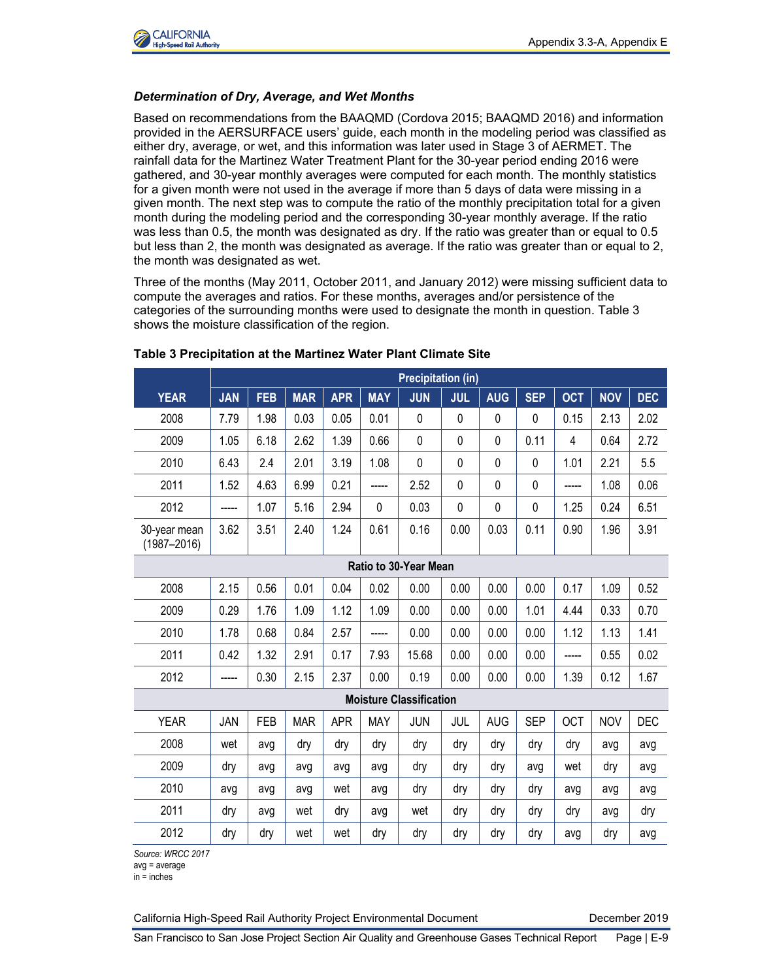

#### *Determination of Dry, Average, and Wet Months*

Based on recommendations from the BAAQMD (Cordova 2015; BAAQMD 2016) and information provided in the AERSURFACE users' guide, each month in the modeling period was classified as either dry, average, or wet, and this information was later used in Stage 3 of AERMET. The rainfall data for the Martinez Water Treatment Plant for the 30-year period ending 2016 were gathered, and 30-year monthly averages were computed for each month. The monthly statistics for a given month were not used in the average if more than 5 days of data were missing in a given month. The next step was to compute the ratio of the monthly precipitation total for a given month during the modeling period and the corresponding 30-year monthly average. If the ratio was less than 0.5, the month was designated as dry. If the ratio was greater than or equal to 0.5 but less than 2, the month was designated as average. If the ratio was greater than or equal to 2, the month was designated as wet.

Three of the months (May 2011, October 2011, and January 2012) were missing sufficient data to compute the averages and ratios. For these months, averages and/or persistence of the categories of the surrounding months were used to designate the month in question. Table 3 shows the moisture classification of the region.

|                                 | <b>Precipitation (in)</b> |            |            |            |            |                                |             |              |            |            |            |            |
|---------------------------------|---------------------------|------------|------------|------------|------------|--------------------------------|-------------|--------------|------------|------------|------------|------------|
| <b>YEAR</b>                     | <b>JAN</b>                | <b>FEB</b> | <b>MAR</b> | <b>APR</b> | <b>MAY</b> | <b>JUN</b>                     | <b>JUL</b>  | <b>AUG</b>   | <b>SEP</b> | <b>OCT</b> | <b>NOV</b> | <b>DEC</b> |
| 2008                            | 7.79                      | 1.98       | 0.03       | 0.05       | 0.01       | 0                              | 0           | 0            | 0          | 0.15       | 2.13       | 2.02       |
| 2009                            | 1.05                      | 6.18       | 2.62       | 1.39       | 0.66       | 0                              | $\mathbf 0$ | $\mathbf 0$  | 0.11       | 4          | 0.64       | 2.72       |
| 2010                            | 6.43                      | 2.4        | 2.01       | 3.19       | 1.08       | 0                              | 0           | $\Omega$     | 0          | 1.01       | 2.21       | 5.5        |
| 2011                            | 1.52                      | 4.63       | 6.99       | 0.21       |            | 2.52                           | $\mathbf 0$ | $\mathbf{0}$ | 0          |            | 1.08       | 0.06       |
| 2012                            |                           | 1.07       | 5.16       | 2.94       | 0          | 0.03                           | $\mathbf 0$ | $\mathbf 0$  | 0          | 1.25       | 0.24       | 6.51       |
| 30-year mean<br>$(1987 - 2016)$ | 3.62                      | 3.51       | 2.40       | 1.24       | 0.61       | 0.16                           | 0.00        | 0.03         | 0.11       | 0.90       | 1.96       | 3.91       |
| <b>Ratio to 30-Year Mean</b>    |                           |            |            |            |            |                                |             |              |            |            |            |            |
| 2008                            | 2.15                      | 0.56       | 0.01       | 0.04       | 0.02       | 0.00                           | 0.00        | 0.00         | 0.00       | 0.17       | 1.09       | 0.52       |
| 2009                            | 0.29                      | 1.76       | 1.09       | 1.12       | 1.09       | 0.00                           | 0.00        | 0.00         | 1.01       | 4.44       | 0.33       | 0.70       |
| 2010                            | 1.78                      | 0.68       | 0.84       | 2.57       | -----      | 0.00                           | 0.00        | 0.00         | 0.00       | 1.12       | 1.13       | 1.41       |
| 2011                            | 0.42                      | 1.32       | 2.91       | 0.17       | 7.93       | 15.68                          | 0.00        | 0.00         | 0.00       | -----      | 0.55       | 0.02       |
| 2012                            | -----                     | 0.30       | 2.15       | 2.37       | 0.00       | 0.19                           | 0.00        | 0.00         | 0.00       | 1.39       | 0.12       | 1.67       |
|                                 |                           |            |            |            |            | <b>Moisture Classification</b> |             |              |            |            |            |            |
| <b>YEAR</b>                     | JAN                       | <b>FEB</b> | <b>MAR</b> | <b>APR</b> | <b>MAY</b> | <b>JUN</b>                     | JUL         | <b>AUG</b>   | <b>SEP</b> | <b>OCT</b> | <b>NOV</b> | <b>DEC</b> |
| 2008                            | wet                       | avg        | dry        | dry        | dry        | dry                            | dry         | dry          | dry        | dry        | avq        | avg        |
| 2009                            | dry                       | avg        | avg        | avg        | avg        | dry                            | dry         | dry          | avg        | wet        | dry        | avg        |
| 2010                            | avg                       | avg        | avg        | wet        | avg        | dry                            | dry         | dry          | dry        | avg        | avg        | avg        |
| 2011                            | dry                       | avg        | wet        | dry        | avg        | wet                            | dry         | dry          | dry        | dry        | avg        | dry        |
| 2012                            | dry                       | dry        | wet        | wet        | dry        | dry                            | dry         | dry          | dry        | avg        | dry        | avg        |

#### **Table 3 Precipitation at the Martinez Water Plant Climate Site**

*Source: WRCC 2017*

avg = average

 $in =$ inches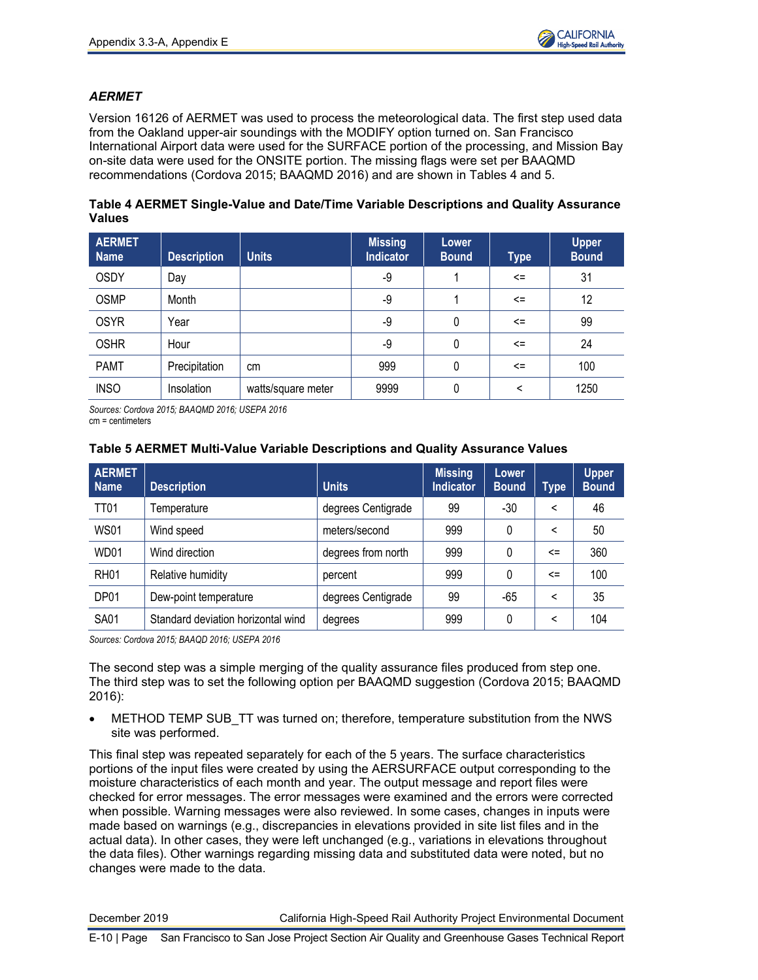

## *AERMET*

Version 16126 of AERMET was used to process the meteorological data. The first step used data from the Oakland upper-air soundings with the MODIFY option turned on. San Francisco International Airport data were used for the SURFACE portion of the processing, and Mission Bay on-site data were used for the ONSITE portion. The missing flags were set per BAAQMD recommendations (Cordova 2015; BAAQMD 2016) and are shown in Tables 4 and 5.

|               | Table 4 AERMET Single-Value and Date/Time Variable Descriptions and Quality Assurance |  |  |  |
|---------------|---------------------------------------------------------------------------------------|--|--|--|
| <b>Values</b> |                                                                                       |  |  |  |

| <b>AERMET</b><br><b>Name</b> | <b>Description</b> | <b>Units</b>       | <b>Missing</b><br><b>Indicator</b> | Lower<br><b>Bound</b> | <b>Type</b> | <b>Upper</b><br><b>Bound</b> |
|------------------------------|--------------------|--------------------|------------------------------------|-----------------------|-------------|------------------------------|
| <b>OSDY</b>                  | Day                |                    | -9                                 |                       | $\leq$      | 31                           |
| <b>OSMP</b>                  | Month              |                    | -9                                 |                       | $\leq$      | 12                           |
| <b>OSYR</b>                  | Year               |                    | -9                                 | 0                     | $\leq$      | 99                           |
| <b>OSHR</b>                  | Hour               |                    | -9                                 | 0                     | $\leq$      | 24                           |
| <b>PAMT</b>                  | Precipitation      | cm                 | 999                                | 0                     | $\leq$      | 100                          |
| <b>INSO</b>                  | Insolation         | watts/square meter | 9999                               | 0                     | $\,<\,$     | 1250                         |

*Sources: Cordova 2015; BAAQMD 2016; USEPA 2016* cm = centimeters

## **Table 5 AERMET Multi-Value Variable Descriptions and Quality Assurance Values**

| <b>AERMET</b><br><b>Name</b> | <b>Description</b>                 | <b>Units</b>       | <b>Missing</b><br><b>Indicator</b> | <b>Lower</b><br><b>Bound</b> | <b>Type</b> | <b>Upper</b><br><b>Bound</b> |
|------------------------------|------------------------------------|--------------------|------------------------------------|------------------------------|-------------|------------------------------|
| <b>TT01</b>                  | Temperature                        | degrees Centigrade | 99                                 | $-30$                        | <           | 46                           |
| <b>WS01</b>                  | Wind speed                         | meters/second      | 999                                | 0                            | ≺           | 50                           |
| WD01                         | Wind direction                     | degrees from north | 999                                | 0                            | $\leq$      | 360                          |
| RH <sub>01</sub>             | Relative humidity                  | percent            | 999                                | 0                            | $\leq$      | 100                          |
| DP01                         | Dew-point temperature              | degrees Centigrade | 99                                 | -65                          | ≺           | 35                           |
| <b>SA01</b>                  | Standard deviation horizontal wind | degrees            | 999                                | 0                            | ≺           | 104                          |

*Sources: Cordova 2015; BAAQD 2016; USEPA 2016*

The second step was a simple merging of the quality assurance files produced from step one. The third step was to set the following option per BAAQMD suggestion (Cordova 2015; BAAQMD 2016):

METHOD TEMP SUB TT was turned on; therefore, temperature substitution from the NWS site was performed.

This final step was repeated separately for each of the 5 years. The surface characteristics portions of the input files were created by using the AERSURFACE output corresponding to the moisture characteristics of each month and year. The output message and report files were checked for error messages. The error messages were examined and the errors were corrected when possible. Warning messages were also reviewed. In some cases, changes in inputs were made based on warnings (e.g., discrepancies in elevations provided in site list files and in the actual data). In other cases, they were left unchanged (e.g., variations in elevations throughout the data files). Other warnings regarding missing data and substituted data were noted, but no changes were made to the data.

December 2019 California High-Speed Rail Authority Project Environmental Document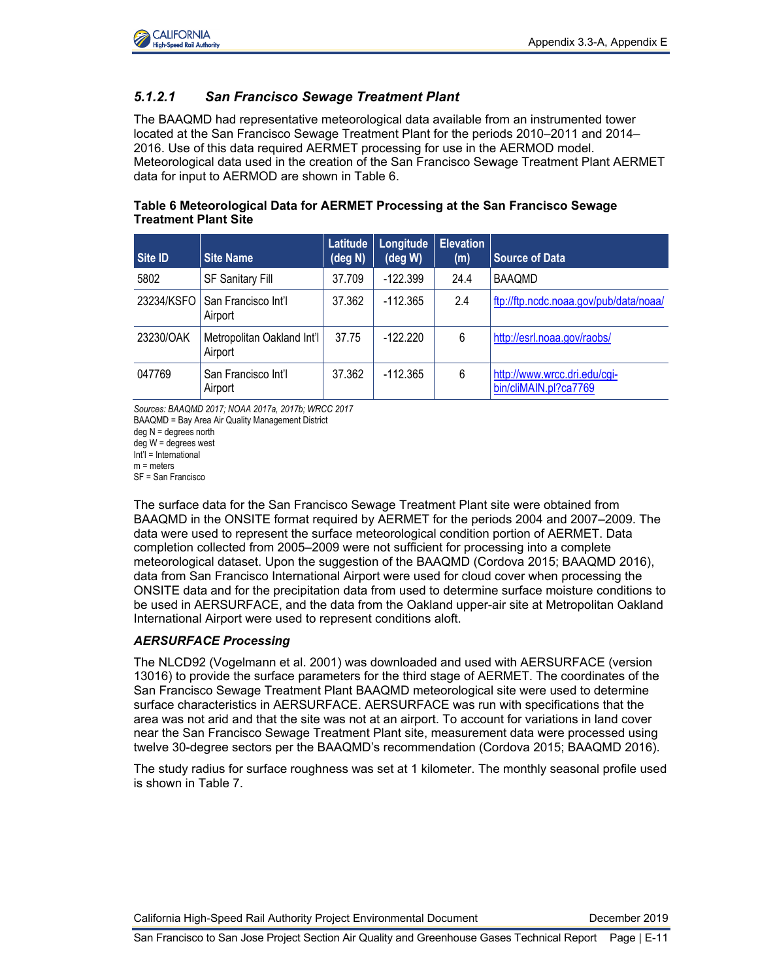

## *5.1.2.1 San Francisco Sewage Treatment Plant*

The BAAQMD had representative meteorological data available from an instrumented tower located at the San Francisco Sewage Treatment Plant for the periods 2010–2011 and 2014– 2016. Use of this data required AERMET processing for use in the AERMOD model. Meteorological data used in the creation of the San Francisco Sewage Treatment Plant AERMET data for input to AERMOD are shown in Table 6.

| Site ID    | <b>Site Name</b>                      | Latitude<br>$(\text{deg } N)$ | Longitude<br>$(\deg W)$ | <b>Elevation</b><br>(m) | <b>Source of Data</b>                                 |
|------------|---------------------------------------|-------------------------------|-------------------------|-------------------------|-------------------------------------------------------|
| 5802       | <b>SF Sanitary Fill</b>               | 37.709                        | $-122.399$              | 24.4                    | <b>BAAQMD</b>                                         |
| 23234/KSFO | San Francisco Int'l<br>Airport        | 37.362                        | $-112.365$              | 2.4                     | ftp://ftp.ncdc.noaa.gov/pub/data/noaa/                |
| 23230/OAK  | Metropolitan Oakland Int'l<br>Airport | 37.75                         | $-122.220$              | 6                       | http://esrl.noaa.gov/raobs/                           |
| 047769     | San Francisco Int'l<br>Airport        | 37.362                        | $-112.365$              | 6                       | http://www.wrcc.dri.edu/cgi-<br>bin/cliMAIN.pl?ca7769 |

### **Table 6 Meteorological Data for AERMET Processing at the San Francisco Sewage Treatment Plant Site**

*Sources: BAAQMD 2017; NOAA 2017a, 2017b; WRCC 2017*

BAAQMD = Bay Area Air Quality Management District

deg N = degrees north

deg W = degrees west Int'l = International

 $m =$  meters

SF = San Francisco

The surface data for the San Francisco Sewage Treatment Plant site were obtained from BAAQMD in the ONSITE format required by AERMET for the periods 2004 and 2007–2009. The data were used to represent the surface meteorological condition portion of AERMET. Data completion collected from 2005–2009 were not sufficient for processing into a complete meteorological dataset. Upon the suggestion of the BAAQMD (Cordova 2015; BAAQMD 2016), data from San Francisco International Airport were used for cloud cover when processing the ONSITE data and for the precipitation data from used to determine surface moisture conditions to be used in AERSURFACE, and the data from the Oakland upper-air site at Metropolitan Oakland International Airport were used to represent conditions aloft.

#### *AERSURFACE Processing*

The NLCD92 (Vogelmann et al. 2001) was downloaded and used with AERSURFACE (version 13016) to provide the surface parameters for the third stage of AERMET. The coordinates of the San Francisco Sewage Treatment Plant BAAQMD meteorological site were used to determine surface characteristics in AERSURFACE. AERSURFACE was run with specifications that the area was not arid and that the site was not at an airport. To account for variations in land cover near the San Francisco Sewage Treatment Plant site, measurement data were processed using twelve 30-degree sectors per the BAAQMD's recommendation (Cordova 2015; BAAQMD 2016).

The study radius for surface roughness was set at 1 kilometer. The monthly seasonal profile used is shown in Table 7.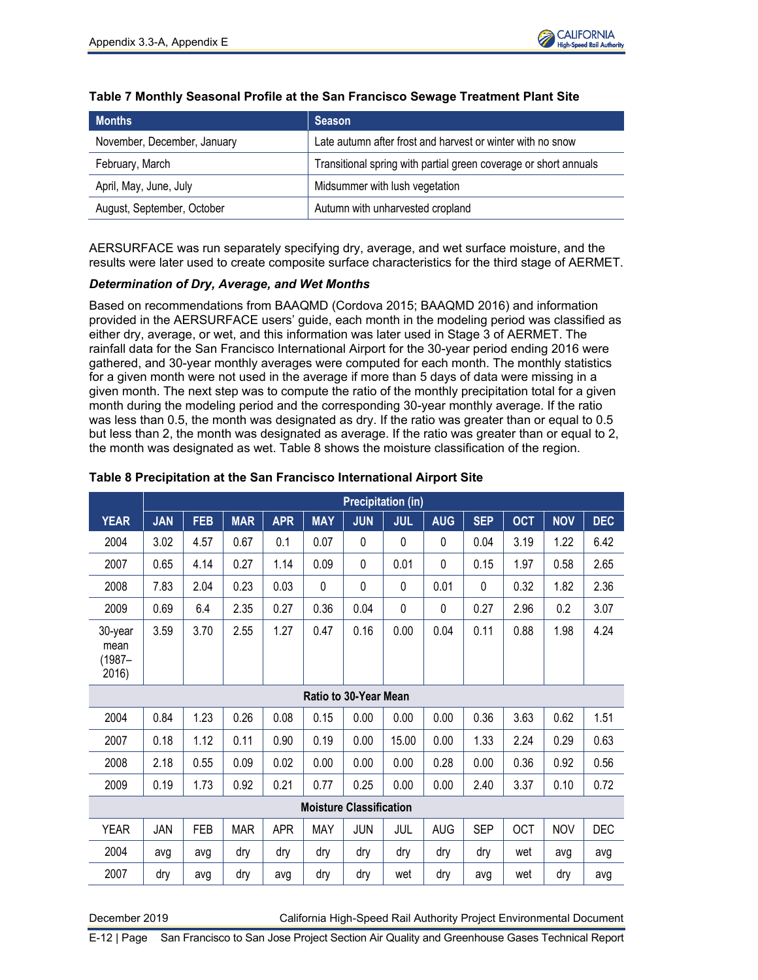

| <b>Months</b>               | <b>Season</b>                                                    |
|-----------------------------|------------------------------------------------------------------|
| November, December, January | Late autumn after frost and harvest or winter with no snow       |
| February, March             | Transitional spring with partial green coverage or short annuals |
| April, May, June, July      | Midsummer with lush vegetation                                   |
| August, September, October  | Autumn with unharvested cropland                                 |

### **Table 7 Monthly Seasonal Profile at the San Francisco Sewage Treatment Plant Site**

AERSURFACE was run separately specifying dry, average, and wet surface moisture, and the results were later used to create composite surface characteristics for the third stage of AERMET.

#### *Determination of Dry, Average, and Wet Months*

Based on recommendations from BAAQMD (Cordova 2015; BAAQMD 2016) and information provided in the AERSURFACE users' guide, each month in the modeling period was classified as either dry, average, or wet, and this information was later used in Stage 3 of AERMET. The rainfall data for the San Francisco International Airport for the 30-year period ending 2016 were gathered, and 30-year monthly averages were computed for each month. The monthly statistics for a given month were not used in the average if more than 5 days of data were missing in a given month. The next step was to compute the ratio of the monthly precipitation total for a given month during the modeling period and the corresponding 30-year monthly average. If the ratio was less than 0.5, the month was designated as dry. If the ratio was greater than or equal to 0.5 but less than 2, the month was designated as average. If the ratio was greater than or equal to 2, the month was designated as wet. Table 8 shows the moisture classification of the region.

|                                       | <b>Precipitation (in)</b> |            |            |            |                                |                       |            |            |            |            |            |            |
|---------------------------------------|---------------------------|------------|------------|------------|--------------------------------|-----------------------|------------|------------|------------|------------|------------|------------|
| <b>YEAR</b>                           | <b>JAN</b>                | <b>FEB</b> | <b>MAR</b> | <b>APR</b> | <b>MAY</b>                     | <b>JUN</b>            | <b>JUL</b> | <b>AUG</b> | <b>SEP</b> | <b>OCT</b> | <b>NOV</b> | <b>DEC</b> |
| 2004                                  | 3.02                      | 4.57       | 0.67       | 0.1        | 0.07                           | 0                     | 0          | 0          | 0.04       | 3.19       | 1.22       | 6.42       |
| 2007                                  | 0.65                      | 4.14       | 0.27       | 1.14       | 0.09                           | 0                     | 0.01       | 0          | 0.15       | 1.97       | 0.58       | 2.65       |
| 2008                                  | 7.83                      | 2.04       | 0.23       | 0.03       | $\mathbf 0$                    | 0                     | 0          | 0.01       | 0          | 0.32       | 1.82       | 2.36       |
| 2009                                  | 0.69                      | 6.4        | 2.35       | 0.27       | 0.36                           | 0.04                  | 0          | 0          | 0.27       | 2.96       | 0.2        | 3.07       |
| 30-year<br>mean<br>$(1987 -$<br>2016) | 3.59                      | 3.70       | 2.55       | 1.27       | 0.47                           | 0.16                  | 0.00       | 0.04       | 0.11       | 0.88       | 1.98       | 4.24       |
|                                       |                           |            |            |            |                                | Ratio to 30-Year Mean |            |            |            |            |            |            |
| 2004                                  | 0.84                      | 1.23       | 0.26       | 0.08       | 0.15                           | 0.00                  | 0.00       | 0.00       | 0.36       | 3.63       | 0.62       | 1.51       |
| 2007                                  | 0.18                      | 1.12       | 0.11       | 0.90       | 0.19                           | 0.00                  | 15.00      | 0.00       | 1.33       | 2.24       | 0.29       | 0.63       |
| 2008                                  | 2.18                      | 0.55       | 0.09       | 0.02       | 0.00                           | 0.00                  | 0.00       | 0.28       | 0.00       | 0.36       | 0.92       | 0.56       |
| 2009                                  | 0.19                      | 1.73       | 0.92       | 0.21       | 0.77                           | 0.25                  | 0.00       | 0.00       | 2.40       | 3.37       | 0.10       | 0.72       |
|                                       |                           |            |            |            | <b>Moisture Classification</b> |                       |            |            |            |            |            |            |
| <b>YEAR</b>                           | JAN                       | <b>FEB</b> | <b>MAR</b> | <b>APR</b> | <b>MAY</b>                     | JUN                   | JUL        | <b>AUG</b> | <b>SEP</b> | <b>OCT</b> | <b>NOV</b> | <b>DEC</b> |
| 2004                                  | avg                       | avg        | dry        | dry        | dry                            | dry                   | dry        | dry        | dry        | wet        | avg        | avg        |
| 2007                                  | dry                       | avg        | dry        | avg        | dry                            | dry                   | wet        | dry        | avg        | wet        | dry        | avg        |

#### **Table 8 Precipitation at the San Francisco International Airport Site**

December 2019 California High-Speed Rail Authority Project Environmental Document

E-12 | Page San Francisco to San Jose Project Section Air Quality and Greenhouse Gases Technical Report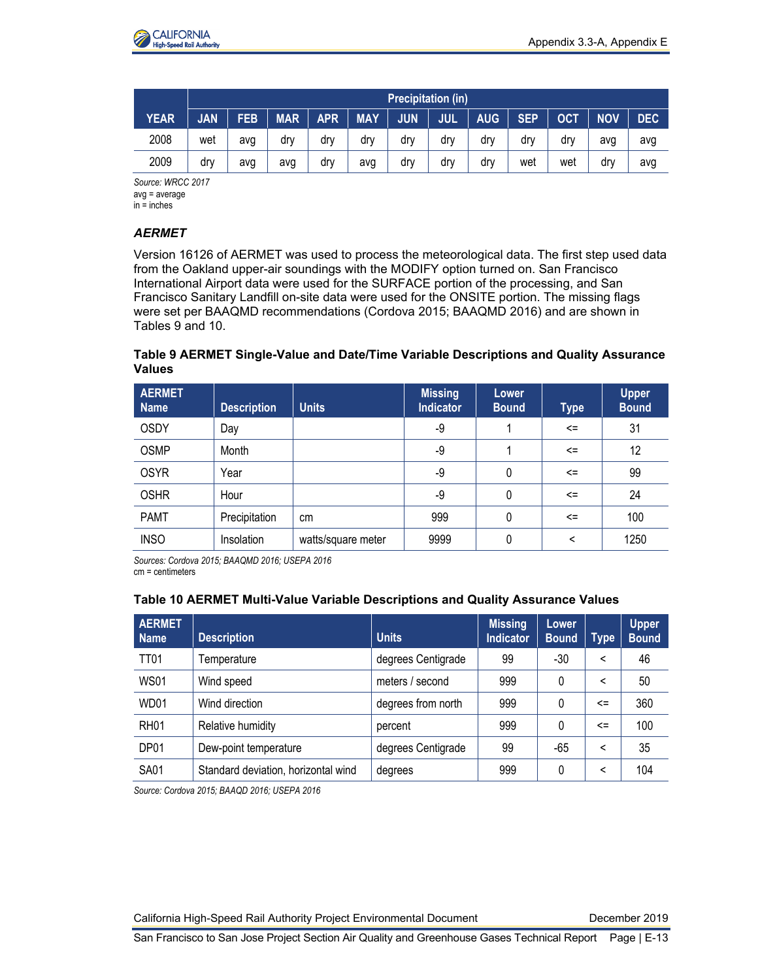

|             |            | <b>Precipitation (in)</b> |            |            |            |            |            |            |            |     |            |     |
|-------------|------------|---------------------------|------------|------------|------------|------------|------------|------------|------------|-----|------------|-----|
| <b>YEAR</b> | <b>JAN</b> | <b>FEB</b>                | <b>MAR</b> | <b>APR</b> | <b>MAY</b> | <b>JUN</b> | <b>JUL</b> | <b>AUG</b> | <b>SEP</b> | OCT | <b>NOV</b> | DEC |
| 2008        | wet        | avg                       | drv        | drv        | dr۷        | drv        | drv        | drv        | drv        | dr۷ | avq        | avg |
| 2009        | drv        | avg                       | avg        | dry        | avg        | dry        | drv        | drv        | wet        | wet | drv        | avg |

*Source: WRCC 2017* avg = average  $in = inches$ 

## *AERMET*

Version 16126 of AERMET was used to process the meteorological data. The first step used data from the Oakland upper-air soundings with the MODIFY option turned on. San Francisco International Airport data were used for the SURFACE portion of the processing, and San Francisco Sanitary Landfill on-site data were used for the ONSITE portion. The missing flags were set per BAAQMD recommendations (Cordova 2015; BAAQMD 2016) and are shown in Tables 9 and 10.

**Table 9 AERMET Single-Value and Date/Time Variable Descriptions and Quality Assurance Values**

| <b>AERMET</b><br><b>Name</b> | <b>Description</b> | <b>Units</b>       | <b>Missing</b><br><b>Indicator</b> | Lower<br><b>Bound</b> | <b>Type</b> | <b>Upper</b><br><b>Bound</b> |
|------------------------------|--------------------|--------------------|------------------------------------|-----------------------|-------------|------------------------------|
| <b>OSDY</b>                  | Day                |                    | -9                                 |                       | $\leq$      | 31                           |
| <b>OSMP</b>                  | Month              |                    | -9                                 |                       | <=          | 12                           |
| <b>OSYR</b>                  | Year               |                    | -9                                 | 0                     | $\leq$      | 99                           |
| <b>OSHR</b>                  | Hour               |                    | -9                                 | 0                     | $\leq$      | 24                           |
| <b>PAMT</b>                  | Precipitation      | cm                 | 999                                | 0                     | $\leq$      | 100                          |
| <b>INSO</b>                  | Insolation         | watts/square meter | 9999                               | 0                     | <           | 1250                         |

*Sources: Cordova 2015; BAAQMD 2016; USEPA 2016* cm = centimeters

#### **Table 10 AERMET Multi-Value Variable Descriptions and Quality Assurance Values**

| <b>AERMET</b><br><b>Name</b> | <b>Description</b>                  | <b>Units</b>       | <b>Missing</b><br><b>Indicator</b> | Lower<br><b>Bound</b> | <b>Type</b>              | <b>Upper</b><br><b>Bound</b> |
|------------------------------|-------------------------------------|--------------------|------------------------------------|-----------------------|--------------------------|------------------------------|
| <b>TT01</b>                  | Temperature                         | degrees Centigrade | 99                                 | $-30$                 | <                        | 46                           |
| <b>WS01</b>                  | Wind speed                          | meters / second    | 999                                | 0                     | $\overline{\phantom{0}}$ | 50                           |
| WD01                         | Wind direction                      | degrees from north | 999                                | 0                     | <=                       | 360                          |
| RH <sub>01</sub>             | Relative humidity                   | percent            | 999                                | 0                     | <=                       | 100                          |
| DP01                         | Dew-point temperature               | degrees Centigrade | 99                                 | -65                   | <                        | 35                           |
| <b>SA01</b>                  | Standard deviation, horizontal wind | degrees            | 999                                | 0                     | <                        | 104                          |

*Source: Cordova 2015; BAAQD 2016; USEPA 2016*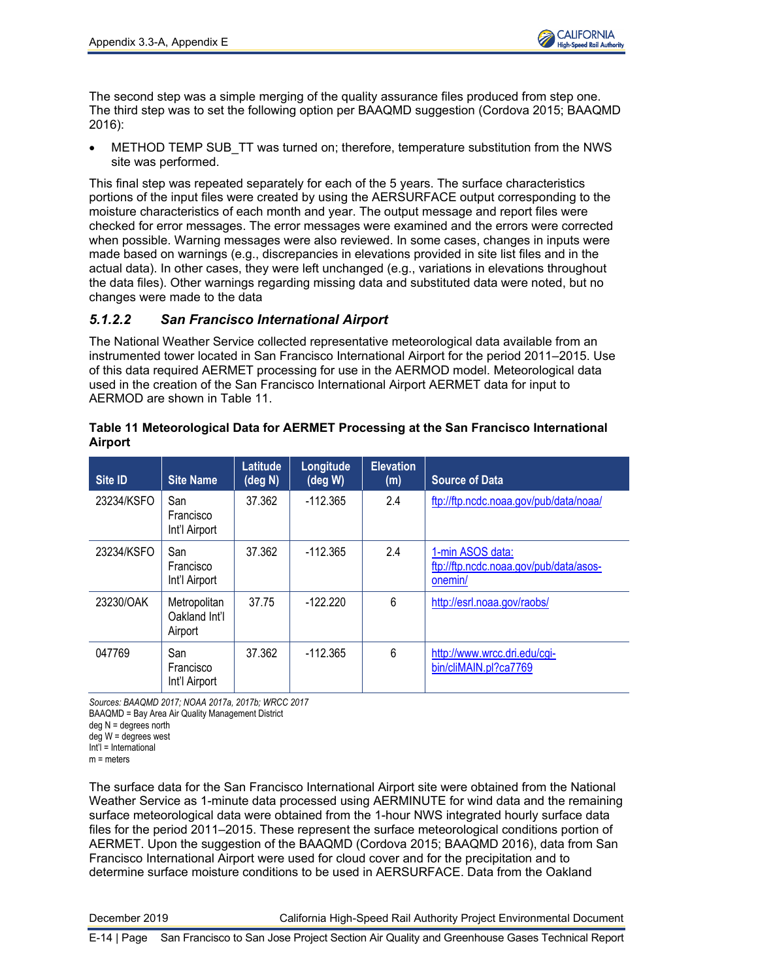The second step was a simple merging of the quality assurance files produced from step one. The third step was to set the following option per BAAQMD suggestion (Cordova 2015; BAAQMD 2016):

METHOD TEMP SUB TT was turned on; therefore, temperature substitution from the NWS site was performed.

This final step was repeated separately for each of the 5 years. The surface characteristics portions of the input files were created by using the AERSURFACE output corresponding to the moisture characteristics of each month and year. The output message and report files were checked for error messages. The error messages were examined and the errors were corrected when possible. Warning messages were also reviewed. In some cases, changes in inputs were made based on warnings (e.g., discrepancies in elevations provided in site list files and in the actual data). In other cases, they were left unchanged (e.g., variations in elevations throughout the data files). Other warnings regarding missing data and substituted data were noted, but no changes were made to the data

## *5.1.2.2 San Francisco International Airport*

The National Weather Service collected representative meteorological data available from an instrumented tower located in San Francisco International Airport for the period 2011–2015. Use of this data required AERMET processing for use in the AERMOD model. Meteorological data used in the creation of the San Francisco International Airport AERMET data for input to AERMOD are shown in Table 11.

| Site ID    | <b>Site Name</b>                         | Latitude<br>(deg N) | Longitude<br>$(\deg W)$ | <b>Elevation</b><br>(m) | <b>Source of Data</b>                                                 |
|------------|------------------------------------------|---------------------|-------------------------|-------------------------|-----------------------------------------------------------------------|
| 23234/KSFO | San<br>Francisco<br>Int'l Airport        | 37.362              | $-112.365$              | 2.4                     | ftp://ftp.ncdc.noaa.gov/pub/data/noaa/                                |
| 23234/KSFO | San<br>Francisco<br>Int'l Airport        | 37.362              | $-112.365$              | 2.4                     | 1-min ASOS data:<br>ftp://ftp.ncdc.noaa.gov/pub/data/asos-<br>onemin/ |
| 23230/OAK  | Metropolitan<br>Oakland Int'l<br>Airport | 37.75               | $-122.220$              | 6                       | http://esrl.noaa.gov/raobs/                                           |
| 047769     | San<br>Francisco<br>Int'l Airport        | 37.362              | $-112.365$              | 6                       | http://www.wrcc.dri.edu/cgi-<br>bin/cliMAIN.pl?ca7769                 |

### **Table 11 Meteorological Data for AERMET Processing at the San Francisco International Airport**

*Sources: BAAQMD 2017; NOAA 2017a, 2017b; WRCC 2017*

BAAQMD = Bay Area Air Quality Management District

deg N = degrees north

deg W = degrees west Int'l = International

 $m =$  meters

The surface data for the San Francisco International Airport site were obtained from the National Weather Service as 1-minute data processed using AERMINUTE for wind data and the remaining surface meteorological data were obtained from the 1-hour NWS integrated hourly surface data files for the period 2011–2015. These represent the surface meteorological conditions portion of AERMET. Upon the suggestion of the BAAQMD (Cordova 2015; BAAQMD 2016), data from San Francisco International Airport were used for cloud cover and for the precipitation and to determine surface moisture conditions to be used in AERSURFACE. Data from the Oakland

December 2019 California High-Speed Rail Authority Project Environmental Document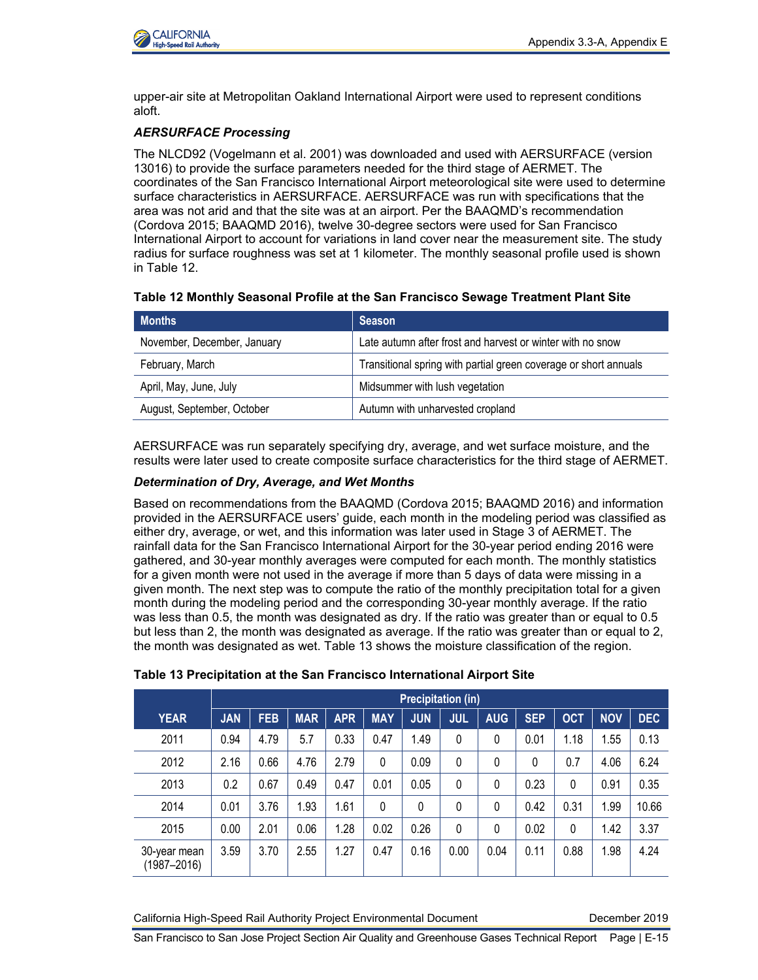

upper-air site at Metropolitan Oakland International Airport were used to represent conditions aloft.

## *AERSURFACE Processing*

The NLCD92 (Vogelmann et al. 2001) was downloaded and used with AERSURFACE (version 13016) to provide the surface parameters needed for the third stage of AERMET. The coordinates of the San Francisco International Airport meteorological site were used to determine surface characteristics in AERSURFACE. AERSURFACE was run with specifications that the area was not arid and that the site was at an airport. Per the BAAQMD's recommendation (Cordova 2015; BAAQMD 2016), twelve 30-degree sectors were used for San Francisco International Airport to account for variations in land cover near the measurement site. The study radius for surface roughness was set at 1 kilometer. The monthly seasonal profile used is shown in Table 12.

#### **Table 12 Monthly Seasonal Profile at the San Francisco Sewage Treatment Plant Site**

| <b>Months</b>               | Season                                                           |
|-----------------------------|------------------------------------------------------------------|
| November, December, January | Late autumn after frost and harvest or winter with no snow       |
| February, March             | Transitional spring with partial green coverage or short annuals |
| April, May, June, July      | Midsummer with lush vegetation                                   |
| August, September, October  | Autumn with unharvested cropland                                 |
|                             |                                                                  |

AERSURFACE was run separately specifying dry, average, and wet surface moisture, and the results were later used to create composite surface characteristics for the third stage of AERMET.

#### *Determination of Dry, Average, and Wet Months*

Based on recommendations from the BAAQMD (Cordova 2015; BAAQMD 2016) and information provided in the AERSURFACE users' guide, each month in the modeling period was classified as either dry, average, or wet, and this information was later used in Stage 3 of AERMET. The rainfall data for the San Francisco International Airport for the 30-year period ending 2016 were gathered, and 30-year monthly averages were computed for each month. The monthly statistics for a given month were not used in the average if more than 5 days of data were missing in a given month. The next step was to compute the ratio of the monthly precipitation total for a given month during the modeling period and the corresponding 30-year monthly average. If the ratio was less than 0.5, the month was designated as dry. If the ratio was greater than or equal to 0.5 but less than 2, the month was designated as average. If the ratio was greater than or equal to 2, the month was designated as wet. Table 13 shows the moisture classification of the region.

|                                 | <b>Precipitation (in)</b> |            |            |            |              |            |            |            |            |            |            |            |
|---------------------------------|---------------------------|------------|------------|------------|--------------|------------|------------|------------|------------|------------|------------|------------|
| <b>YEAR</b>                     | <b>JAN</b>                | <b>FEB</b> | <b>MAR</b> | <b>APR</b> | <b>MAY</b>   | <b>JUN</b> | <b>JUL</b> | <b>AUG</b> | <b>SEP</b> | <b>OCT</b> | <b>NOV</b> | <b>DEC</b> |
| 2011                            | 0.94                      | 4.79       | 5.7        | 0.33       | 0.47         | 1.49       | 0          | 0          | 0.01       | 1.18       | 1.55       | 0.13       |
| 2012                            | 2.16                      | 0.66       | 4.76       | 2.79       | $\mathbf{0}$ | 0.09       | 0          | 0          | 0          | 0.7        | 4.06       | 6.24       |
| 2013                            | 0.2                       | 0.67       | 0.49       | 0.47       | 0.01         | 0.05       | 0          | 0          | 0.23       | 0          | 0.91       | 0.35       |
| 2014                            | 0.01                      | 3.76       | 1.93       | 1.61       | 0            | 0          | 0          | 0          | 0.42       | 0.31       | 1.99       | 10.66      |
| 2015                            | 0.00                      | 2.01       | 0.06       | 1.28       | 0.02         | 0.26       | 0          | 0          | 0.02       | 0          | 1.42       | 3.37       |
| 30-year mean<br>$(1987 - 2016)$ | 3.59                      | 3.70       | 2.55       | 1.27       | 0.47         | 0.16       | 0.00       | 0.04       | 0.11       | 0.88       | 1.98       | 4.24       |

#### **Table 13 Precipitation at the San Francisco International Airport Site**

California High-Speed Rail Authority Project Environmental Document December 2019

San Francisco to San Jose Project Section Air Quality and Greenhouse Gases Technical Report Page | E-15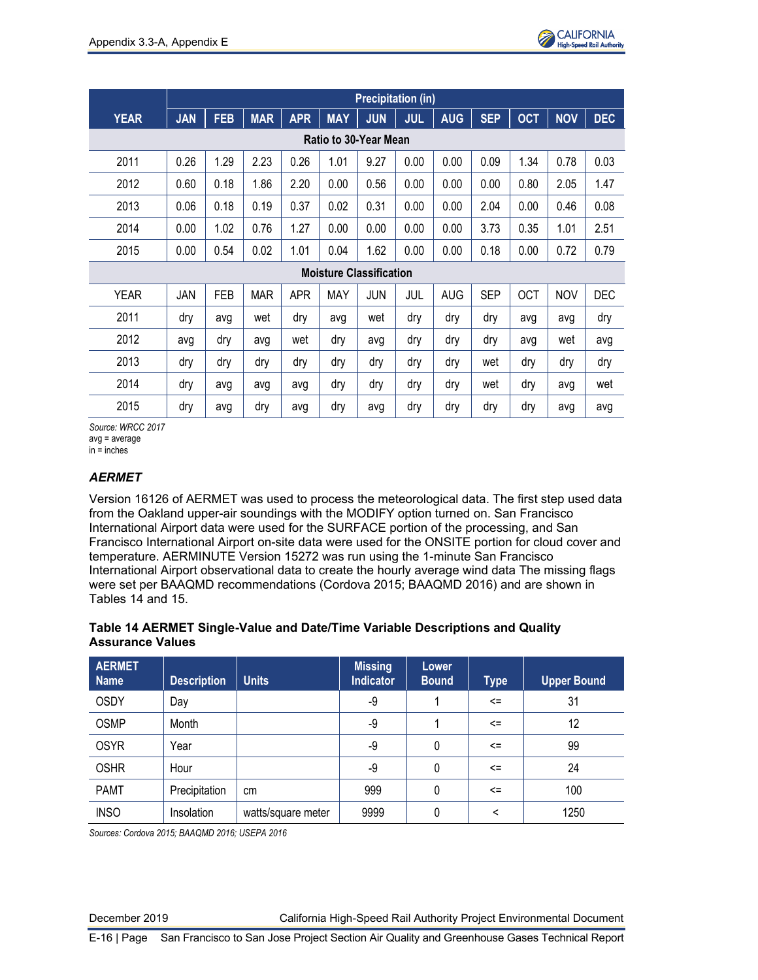

|             |                       |            |            |            |            | <b>Precipitation (in)</b>      |            |            |            |            |            |            |
|-------------|-----------------------|------------|------------|------------|------------|--------------------------------|------------|------------|------------|------------|------------|------------|
| <b>YEAR</b> | <b>JAN</b>            | <b>FEB</b> | <b>MAR</b> | <b>APR</b> | <b>MAY</b> | <b>JUN</b>                     | <b>JUL</b> | <b>AUG</b> | <b>SEP</b> | <b>OCT</b> | <b>NOV</b> | <b>DEC</b> |
|             | Ratio to 30-Year Mean |            |            |            |            |                                |            |            |            |            |            |            |
| 2011        | 0.26                  | 1.29       | 2.23       | 0.26       | 1.01       | 9.27                           | 0.00       | 0.00       | 0.09       | 1.34       | 0.78       | 0.03       |
| 2012        | 0.60                  | 0.18       | 1.86       | 2.20       | 0.00       | 0.56                           | 0.00       | 0.00       | 0.00       | 0.80       | 2.05       | 1.47       |
| 2013        | 0.06                  | 0.18       | 0.19       | 0.37       | 0.02       | 0.31                           | 0.00       | 0.00       | 2.04       | 0.00       | 0.46       | 0.08       |
| 2014        | 0.00                  | 1.02       | 0.76       | 1.27       | 0.00       | 0.00                           | 0.00       | 0.00       | 3.73       | 0.35       | 1.01       | 2.51       |
| 2015        | 0.00                  | 0.54       | 0.02       | 1.01       | 0.04       | 1.62                           | 0.00       | 0.00       | 0.18       | 0.00       | 0.72       | 0.79       |
|             |                       |            |            |            |            | <b>Moisture Classification</b> |            |            |            |            |            |            |
| <b>YEAR</b> | JAN                   | <b>FEB</b> | <b>MAR</b> | <b>APR</b> | MAY        | JUN                            | JUL        | <b>AUG</b> | <b>SEP</b> | <b>OCT</b> | <b>NOV</b> | <b>DEC</b> |
| 2011        | dry                   | avg        | wet        | dry        | avg        | wet                            | dry        | dry        | dry        | avg        | avg        | dry        |
| 2012        | avg                   | dry        | avg        | wet        | dry        | avg                            | dry        | dry        | dry        | avg        | wet        | avg        |
| 2013        | dry                   | dry        | dry        | dry        | dry        | dry                            | dry        | dry        | wet        | dry        | dry        | dry        |
| 2014        | dry                   | avg        | avg        | avg        | dry        | dry                            | dry        | dry        | wet        | dry        | avg        | wet        |
| 2015        | dry                   | avg        | dry        | avg        | dry        | avq                            | dry        | dry        | dry        | dry        | avq        | avg        |

*Source: WRCC 2017* avg = average

in = inches

## *AERMET*

Version 16126 of AERMET was used to process the meteorological data. The first step used data from the Oakland upper-air soundings with the MODIFY option turned on. San Francisco International Airport data were used for the SURFACE portion of the processing, and San Francisco International Airport on-site data were used for the ONSITE portion for cloud cover and temperature. AERMINUTE Version 15272 was run using the 1-minute San Francisco International Airport observational data to create the hourly average wind data The missing flags were set per BAAQMD recommendations (Cordova 2015; BAAQMD 2016) and are shown in Tables 14 and 15.

## **Table 14 AERMET Single-Value and Date/Time Variable Descriptions and Quality Assurance Values**

| <b>AERMET</b><br><b>Name</b> | <b>Description</b> | <b>Units</b>       | <b>Missing</b><br><b>Indicator</b> | Lower<br><b>Bound</b> | <b>Type</b>  | <b>Upper Bound</b> |
|------------------------------|--------------------|--------------------|------------------------------------|-----------------------|--------------|--------------------|
| <b>OSDY</b>                  | Day                |                    | -9                                 |                       | $\leq$       | 31                 |
| <b>OSMP</b>                  | Month              |                    | -9                                 |                       | $\leq$       | 12                 |
| <b>OSYR</b>                  | Year               |                    | -9                                 | 0                     | $\leq$       | 99                 |
| <b>OSHR</b>                  | Hour               |                    | -9                                 | 0                     | $\leq$       | 24                 |
| <b>PAMT</b>                  | Precipitation      | cm                 | 999                                | 0                     | $\leq$       | 100                |
| <b>INSO</b>                  | Insolation         | watts/square meter | 9999                               | 0                     | $\checkmark$ | 1250               |

*Sources: Cordova 2015; BAAQMD 2016; USEPA 2016*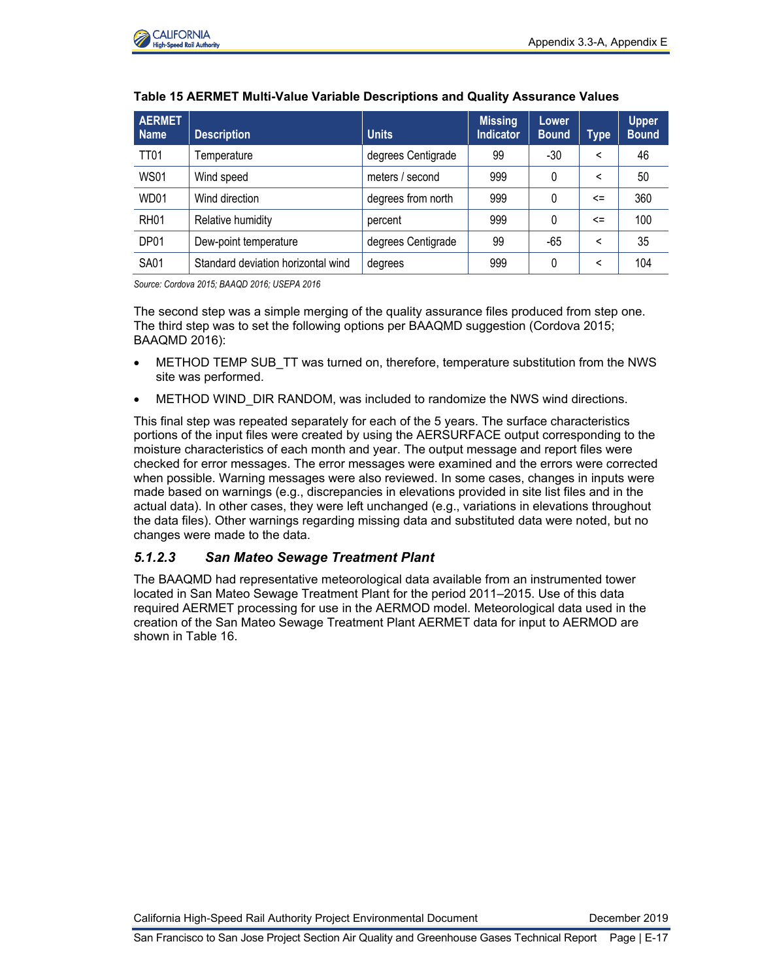

| <b>AERMET</b><br><b>Name</b> | <b>Description</b>                 | <b>Units</b>       | <b>Missing</b><br><b>Indicator</b> | Lower<br><b>Bound</b> | <b>Type</b> | <b>Upper</b><br><b>Bound</b> |
|------------------------------|------------------------------------|--------------------|------------------------------------|-----------------------|-------------|------------------------------|
| <b>TT01</b>                  | Temperature                        | degrees Centigrade | 99                                 | $-30$                 | ≺           | 46                           |
| <b>WS01</b>                  | Wind speed                         | meters / second    | 999                                | 0                     | ≺           | 50                           |
| WD01                         | Wind direction                     | degrees from north | 999                                | 0                     | $\leq$      | 360                          |
| <b>RH01</b>                  | Relative humidity                  | percent            | 999                                | 0                     | $\leq$      | 100                          |
| DP01                         | Dew-point temperature              | degrees Centigrade | 99                                 | -65                   | ≺           | 35                           |
| <b>SA01</b>                  | Standard deviation horizontal wind | degrees            | 999                                | 0                     | ≺           | 104                          |

#### **Table 15 AERMET Multi-Value Variable Descriptions and Quality Assurance Values**

*Source: Cordova 2015; BAAQD 2016; USEPA 2016*

The second step was a simple merging of the quality assurance files produced from step one. The third step was to set the following options per BAAQMD suggestion (Cordova 2015; BAAQMD 2016):

- METHOD TEMP SUB TT was turned on, therefore, temperature substitution from the NWS site was performed.
- METHOD WIND DIR RANDOM, was included to randomize the NWS wind directions.

This final step was repeated separately for each of the 5 years. The surface characteristics portions of the input files were created by using the AERSURFACE output corresponding to the moisture characteristics of each month and year. The output message and report files were checked for error messages. The error messages were examined and the errors were corrected when possible. Warning messages were also reviewed. In some cases, changes in inputs were made based on warnings (e.g., discrepancies in elevations provided in site list files and in the actual data). In other cases, they were left unchanged (e.g., variations in elevations throughout the data files). Other warnings regarding missing data and substituted data were noted, but no changes were made to the data.

## *5.1.2.3 San Mateo Sewage Treatment Plant*

The BAAQMD had representative meteorological data available from an instrumented tower located in San Mateo Sewage Treatment Plant for the period 2011–2015. Use of this data required AERMET processing for use in the AERMOD model. Meteorological data used in the creation of the San Mateo Sewage Treatment Plant AERMET data for input to AERMOD are shown in Table 16.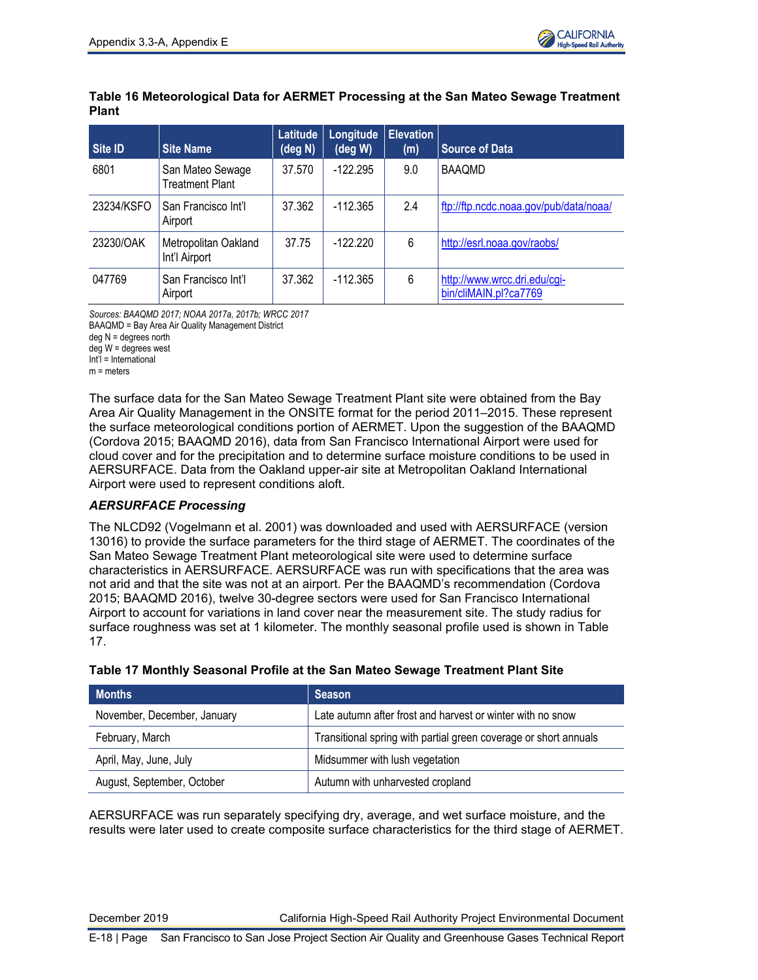

## **Table 16 Meteorological Data for AERMET Processing at the San Mateo Sewage Treatment Plant**

| Site ID    | <b>Site Name</b>                      | Latitude<br>(deg N) | Longitude<br>deg W | <b>Elevation</b><br>(m) | <b>Source of Data</b>                                 |
|------------|---------------------------------------|---------------------|--------------------|-------------------------|-------------------------------------------------------|
| 6801       | San Mateo Sewage<br>Treatment Plant   | 37.570              | $-122.295$         | 9.0                     | <b>BAAOMD</b>                                         |
| 23234/KSFO | San Francisco Int'l<br>Airport        | 37.362              | $-112.365$         | 2.4                     | ftp://ftp.ncdc.noaa.gov/pub/data/noaa/                |
| 23230/OAK  | Metropolitan Oakland<br>Int'l Airport | 37.75               | $-122.220$         | 6                       | http://esrl.noaa.gov/raobs/                           |
| 047769     | San Francisco Int'l<br>Airport        | 37.362              | $-112.365$         | 6                       | http://www.wrcc.dri.edu/cgi-<br>bin/cliMAIN.pl?ca7769 |

*Sources: BAAQMD 2017; NOAA 2017a, 2017b; WRCC 2017*

BAAQMD = Bay Area Air Quality Management District

deg N = degrees north

deg W = degrees west Int'l = International

m = meters

The surface data for the San Mateo Sewage Treatment Plant site were obtained from the Bay Area Air Quality Management in the ONSITE format for the period 2011–2015. These represent the surface meteorological conditions portion of AERMET. Upon the suggestion of the BAAQMD (Cordova 2015; BAAQMD 2016), data from San Francisco International Airport were used for cloud cover and for the precipitation and to determine surface moisture conditions to be used in AERSURFACE. Data from the Oakland upper-air site at Metropolitan Oakland International Airport were used to represent conditions aloft.

## *AERSURFACE Processing*

The NLCD92 (Vogelmann et al. 2001) was downloaded and used with AERSURFACE (version 13016) to provide the surface parameters for the third stage of AERMET. The coordinates of the San Mateo Sewage Treatment Plant meteorological site were used to determine surface characteristics in AERSURFACE. AERSURFACE was run with specifications that the area was not arid and that the site was not at an airport. Per the BAAQMD's recommendation (Cordova 2015; BAAQMD 2016), twelve 30-degree sectors were used for San Francisco International Airport to account for variations in land cover near the measurement site. The study radius for surface roughness was set at 1 kilometer. The monthly seasonal profile used is shown in Table 17.

| <b>Months</b>               | Season                                                           |
|-----------------------------|------------------------------------------------------------------|
| November, December, January | Late autumn after frost and harvest or winter with no snow       |
| February, March             | Transitional spring with partial green coverage or short annuals |
| April, May, June, July      | Midsummer with lush vegetation                                   |
| August, September, October  | Autumn with unharvested cropland                                 |

## **Table 17 Monthly Seasonal Profile at the San Mateo Sewage Treatment Plant Site**

AERSURFACE was run separately specifying dry, average, and wet surface moisture, and the results were later used to create composite surface characteristics for the third stage of AERMET.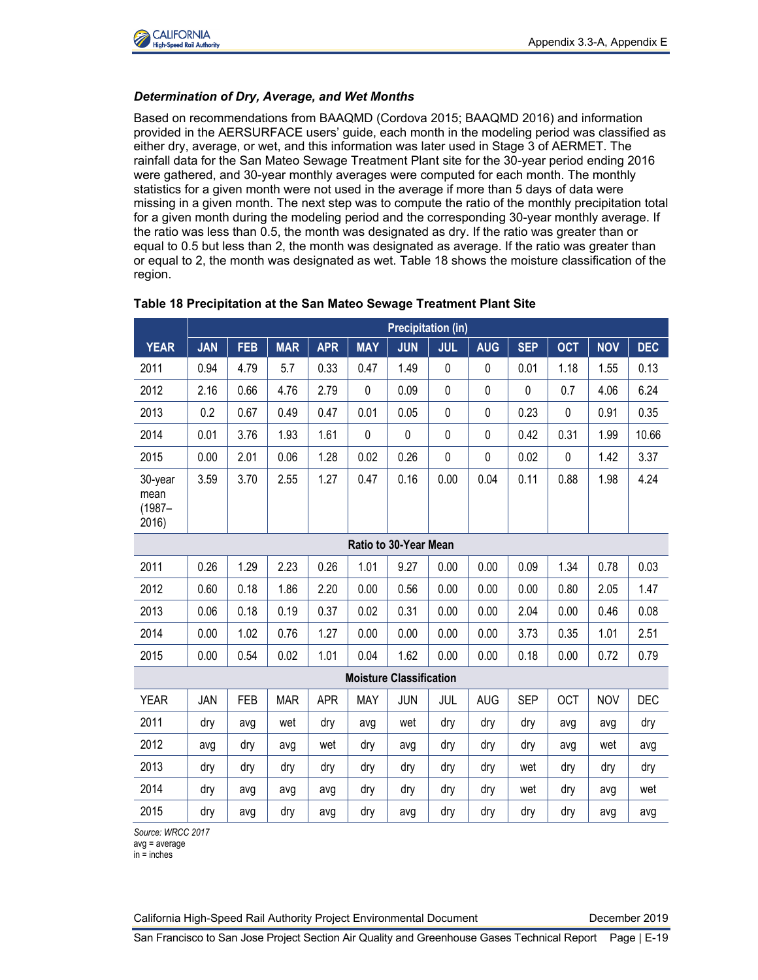

#### *Determination of Dry, Average, and Wet Months*

Based on recommendations from BAAQMD (Cordova 2015; BAAQMD 2016) and information provided in the AERSURFACE users' guide, each month in the modeling period was classified as either dry, average, or wet, and this information was later used in Stage 3 of AERMET. The rainfall data for the San Mateo Sewage Treatment Plant site for the 30-year period ending 2016 were gathered, and 30-year monthly averages were computed for each month. The monthly statistics for a given month were not used in the average if more than 5 days of data were missing in a given month. The next step was to compute the ratio of the monthly precipitation total for a given month during the modeling period and the corresponding 30-year monthly average. If the ratio was less than 0.5, the month was designated as dry. If the ratio was greater than or equal to 0.5 but less than 2, the month was designated as average. If the ratio was greater than or equal to 2, the month was designated as wet. Table 18 shows the moisture classification of the region.

|                                      | <b>Precipitation (in)</b> |            |            |            |                                |            |              |             |            |            |            |            |
|--------------------------------------|---------------------------|------------|------------|------------|--------------------------------|------------|--------------|-------------|------------|------------|------------|------------|
| <b>YEAR</b>                          | <b>JAN</b>                | <b>FEB</b> | <b>MAR</b> | <b>APR</b> | <b>MAY</b>                     | <b>JUN</b> | <b>JUL</b>   | <b>AUG</b>  | <b>SEP</b> | <b>OCT</b> | <b>NOV</b> | <b>DEC</b> |
| 2011                                 | 0.94                      | 4.79       | 5.7        | 0.33       | 0.47                           | 1.49       | $\mathbf{0}$ | $\mathbf 0$ | 0.01       | 1.18       | 1.55       | 0.13       |
| 2012                                 | 2.16                      | 0.66       | 4.76       | 2.79       | $\mathbf 0$                    | 0.09       | $\mathbf 0$  | $\mathbf 0$ | 0          | 0.7        | 4.06       | 6.24       |
| 2013                                 | 0.2                       | 0.67       | 0.49       | 0.47       | 0.01                           | 0.05       | $\mathbf 0$  | 0           | 0.23       | 0          | 0.91       | 0.35       |
| 2014                                 | 0.01                      | 3.76       | 1.93       | 1.61       | $\mathbf 0$                    | 0          | $\mathbf 0$  | $\mathbf 0$ | 0.42       | 0.31       | 1.99       | 10.66      |
| 2015                                 | 0.00                      | 2.01       | 0.06       | 1.28       | 0.02                           | 0.26       | $\mathbf 0$  | $\mathbf 0$ | 0.02       | 0          | 1.42       | 3.37       |
| 30-year<br>mean<br>$(1987 -$<br>2016 | 3.59                      | 3.70       | 2.55       | 1.27       | 0.47                           | 0.16       | 0.00         | 0.04        | 0.11       | 0.88       | 1.98       | 4.24       |
| Ratio to 30-Year Mean                |                           |            |            |            |                                |            |              |             |            |            |            |            |
| 2011                                 | 0.26                      | 1.29       | 2.23       | 0.26       | 1.01                           | 9.27       | 0.00         | 0.00        | 0.09       | 1.34       | 0.78       | 0.03       |
| 2012                                 | 0.60                      | 0.18       | 1.86       | 2.20       | 0.00                           | 0.56       | 0.00         | 0.00        | 0.00       | 0.80       | 2.05       | 1.47       |
| 2013                                 | 0.06                      | 0.18       | 0.19       | 0.37       | 0.02                           | 0.31       | 0.00         | 0.00        | 2.04       | 0.00       | 0.46       | 0.08       |
| 2014                                 | 0.00                      | 1.02       | 0.76       | 1.27       | 0.00                           | 0.00       | 0.00         | 0.00        | 3.73       | 0.35       | 1.01       | 2.51       |
| 2015                                 | 0.00                      | 0.54       | 0.02       | 1.01       | 0.04                           | 1.62       | 0.00         | 0.00        | 0.18       | 0.00       | 0.72       | 0.79       |
|                                      |                           |            |            |            | <b>Moisture Classification</b> |            |              |             |            |            |            |            |
| <b>YEAR</b>                          | JAN                       | <b>FEB</b> | <b>MAR</b> | <b>APR</b> | <b>MAY</b>                     | <b>JUN</b> | JUL          | <b>AUG</b>  | <b>SEP</b> | <b>OCT</b> | <b>NOV</b> | <b>DEC</b> |
| 2011                                 | dry                       | avg        | wet        | dry        | avg                            | wet        | dry          | dry         | dry        | avg        | avg        | dry        |
| 2012                                 | avg                       | dry        | avg        | wet        | dry                            | avg        | dry          | dry         | dry        | avg        | wet        | avg        |
| 2013                                 | dry                       | dry        | dry        | dry        | dry                            | dry        | dry          | dry         | wet        | dry        | dry        | dry        |
| 2014                                 | dry                       | avg        | avg        | avg        | dry                            | dry        | dry          | dry         | wet        | dry        | avg        | wet        |
| 2015                                 | dry                       | avg        | dry        | avg        | dry                            | avg        | dry          | dry         | dry        | dry        | avg        | avg        |

#### **Table 18 Precipitation at the San Mateo Sewage Treatment Plant Site**

*Source: WRCC 2017*

avg = average

 $in = inches$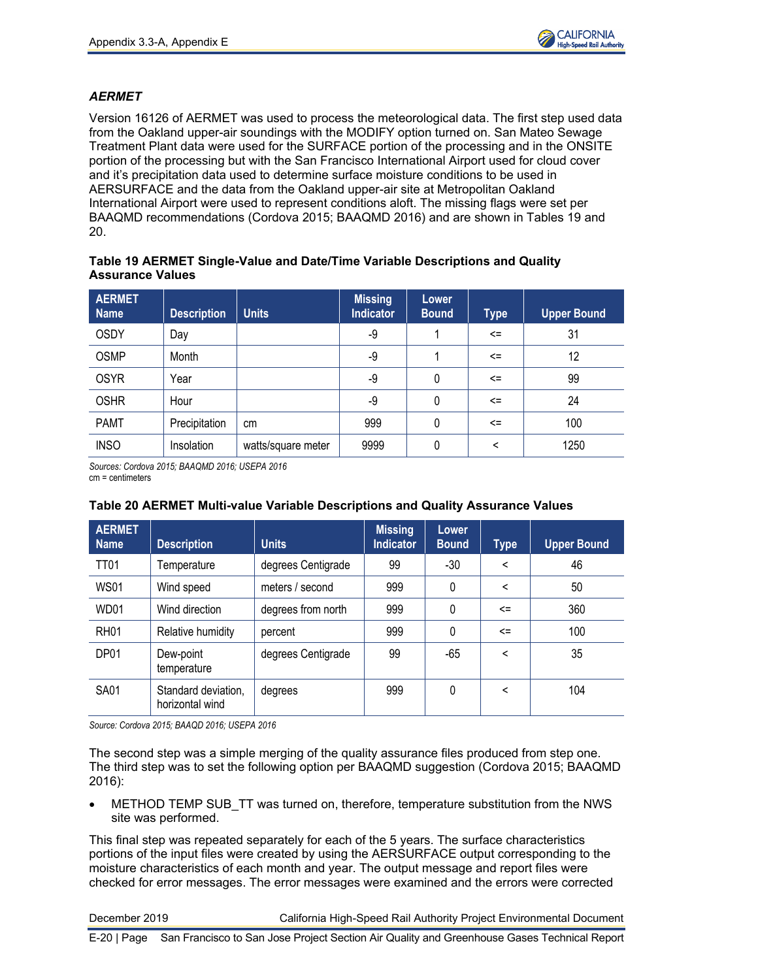

## *AERMET*

Version 16126 of AERMET was used to process the meteorological data. The first step used data from the Oakland upper-air soundings with the MODIFY option turned on. San Mateo Sewage Treatment Plant data were used for the SURFACE portion of the processing and in the ONSITE portion of the processing but with the San Francisco International Airport used for cloud cover and it's precipitation data used to determine surface moisture conditions to be used in AERSURFACE and the data from the Oakland upper-air site at Metropolitan Oakland International Airport were used to represent conditions aloft. The missing flags were set per BAAQMD recommendations (Cordova 2015; BAAQMD 2016) and are shown in Tables 19 and 20.

### **Table 19 AERMET Single-Value and Date/Time Variable Descriptions and Quality Assurance Values**

| <b>AERMET</b><br><b>Name</b> | <b>Description</b> | <b>Units</b>       | <b>Missing</b><br>Indicator | Lower<br><b>Bound</b> | <b>Type</b>              | <b>Upper Bound</b> |
|------------------------------|--------------------|--------------------|-----------------------------|-----------------------|--------------------------|--------------------|
| <b>OSDY</b>                  | Day                |                    | -9                          |                       | $\leq$                   | 31                 |
| <b>OSMP</b>                  | Month              |                    | -9                          |                       | $\leq$                   | 12                 |
| <b>OSYR</b>                  | Year               |                    | -9                          | 0                     | $\leq$                   | 99                 |
| <b>OSHR</b>                  | Hour               |                    | -9                          | 0                     | $\leq$                   | 24                 |
| <b>PAMT</b>                  | Precipitation      | cm                 | 999                         | 0                     | $\leq$                   | 100                |
| <b>INSO</b>                  | Insolation         | watts/square meter | 9999                        | 0                     | $\overline{\phantom{0}}$ | 1250               |

*Sources: Cordova 2015; BAAQMD 2016; USEPA 2016* cm = centimeters

#### **Table 20 AERMET Multi-value Variable Descriptions and Quality Assurance Values**

| <b>AERMET</b><br><b>Name</b> | <b>Description</b>                     | <b>Units</b>       | <b>Missing</b><br>Indicator | Lower<br><b>Bound</b> | <b>Type</b> | <b>Upper Bound</b> |
|------------------------------|----------------------------------------|--------------------|-----------------------------|-----------------------|-------------|--------------------|
| <b>TT01</b>                  | Temperature                            | degrees Centigrade | 99                          | -30                   | $\,<\,$     | 46                 |
| <b>WS01</b>                  | Wind speed                             | meters / second    | 999                         | 0                     | <           | 50                 |
| WD01                         | Wind direction                         | degrees from north | 999                         | $\Omega$              | $\leq$      | 360                |
| <b>RH01</b>                  | Relative humidity                      | percent            | 999                         | 0                     | $\leq$      | 100                |
| DP01                         | Dew-point<br>temperature               | degrees Centigrade | 99                          | -65                   | <           | 35                 |
| <b>SA01</b>                  | Standard deviation,<br>horizontal wind | degrees            | 999                         | 0                     | <           | 104                |

*Source: Cordova 2015; BAAQD 2016; USEPA 2016*

The second step was a simple merging of the quality assurance files produced from step one. The third step was to set the following option per BAAQMD suggestion (Cordova 2015; BAAQMD 2016):

METHOD TEMP SUB TT was turned on, therefore, temperature substitution from the NWS site was performed.

This final step was repeated separately for each of the 5 years. The surface characteristics portions of the input files were created by using the AERSURFACE output corresponding to the moisture characteristics of each month and year. The output message and report files were checked for error messages. The error messages were examined and the errors were corrected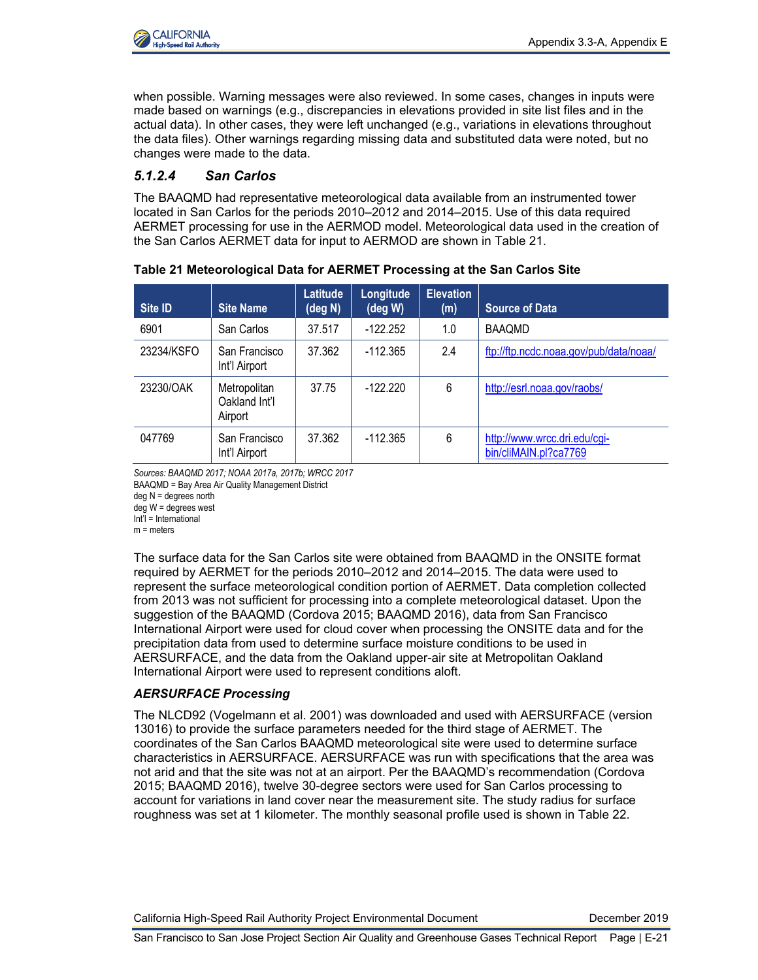when possible. Warning messages were also reviewed. In some cases, changes in inputs were made based on warnings (e.g., discrepancies in elevations provided in site list files and in the actual data). In other cases, they were left unchanged (e.g., variations in elevations throughout the data files). Other warnings regarding missing data and substituted data were noted, but no changes were made to the data.

## *5.1.2.4 San Carlos*

The BAAQMD had representative meteorological data available from an instrumented tower located in San Carlos for the periods 2010–2012 and 2014–2015. Use of this data required AERMET processing for use in the AERMOD model. Meteorological data used in the creation of the San Carlos AERMET data for input to AERMOD are shown in Table 21.

| Site ID    | <b>Site Name</b>                         | Latitude<br>(deg N) | Longitude<br>(deg W) | <b>Elevation</b><br>(m) | <b>Source of Data</b>                                 |
|------------|------------------------------------------|---------------------|----------------------|-------------------------|-------------------------------------------------------|
| 6901       | San Carlos                               | 37.517              | $-122.252$           | 1.0                     | <b>BAAQMD</b>                                         |
| 23234/KSFO | San Francisco<br>Int'l Airport           | 37.362              | $-112.365$           | 2.4                     | ftp://ftp.ncdc.noaa.gov/pub/data/noaa/                |
| 23230/OAK  | Metropolitan<br>Oakland Int'l<br>Airport | 37.75               | $-122.220$           | 6                       | http://esrl.noaa.gov/raobs/                           |
| 047769     | San Francisco<br>Int'l Airport           | 37.362              | $-112.365$           | 6                       | http://www.wrcc.dri.edu/cgi-<br>bin/cliMAIN.pl?ca7769 |

| Table 21 Meteorological Data for AERMET Processing at the San Carlos Site |  |
|---------------------------------------------------------------------------|--|
|---------------------------------------------------------------------------|--|

*Sources: BAAQMD 2017; NOAA 2017a, 2017b; WRCC 2017* BAAQMD = Bay Area Air Quality Management District deg N = degrees north

deg W = degrees west

Int'l = International

m = meters

The surface data for the San Carlos site were obtained from BAAQMD in the ONSITE format required by AERMET for the periods 2010–2012 and 2014–2015. The data were used to represent the surface meteorological condition portion of AERMET. Data completion collected from 2013 was not sufficient for processing into a complete meteorological dataset. Upon the suggestion of the BAAQMD (Cordova 2015; BAAQMD 2016), data from San Francisco International Airport were used for cloud cover when processing the ONSITE data and for the precipitation data from used to determine surface moisture conditions to be used in AERSURFACE, and the data from the Oakland upper-air site at Metropolitan Oakland International Airport were used to represent conditions aloft.

## *AERSURFACE Processing*

The NLCD92 (Vogelmann et al. 2001) was downloaded and used with AERSURFACE (version 13016) to provide the surface parameters needed for the third stage of AERMET. The coordinates of the San Carlos BAAQMD meteorological site were used to determine surface characteristics in AERSURFACE. AERSURFACE was run with specifications that the area was not arid and that the site was not at an airport. Per the BAAQMD's recommendation (Cordova 2015; BAAQMD 2016), twelve 30-degree sectors were used for San Carlos processing to account for variations in land cover near the measurement site. The study radius for surface roughness was set at 1 kilometer. The monthly seasonal profile used is shown in Table 22.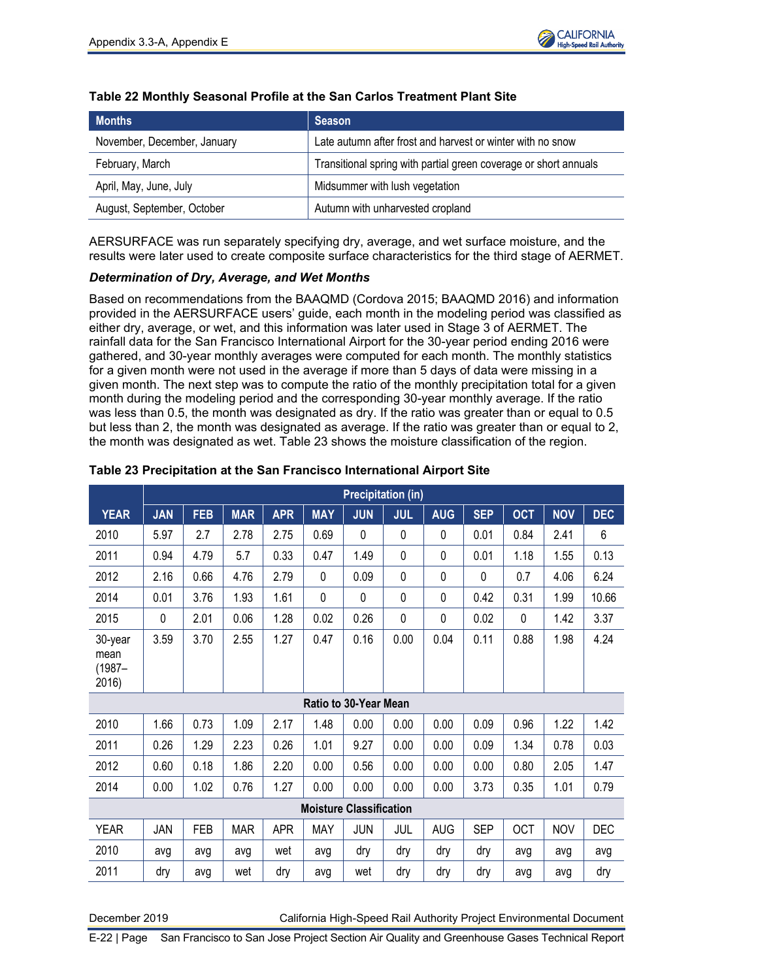

| <b>Months</b>               | <b>Season</b>                                                    |
|-----------------------------|------------------------------------------------------------------|
| November, December, January | Late autumn after frost and harvest or winter with no snow       |
| February, March             | Transitional spring with partial green coverage or short annuals |
| April, May, June, July      | Midsummer with lush vegetation                                   |
| August, September, October  | Autumn with unharvested cropland                                 |

### **Table 22 Monthly Seasonal Profile at the San Carlos Treatment Plant Site**

AERSURFACE was run separately specifying dry, average, and wet surface moisture, and the results were later used to create composite surface characteristics for the third stage of AERMET.

#### *Determination of Dry, Average, and Wet Months*

Based on recommendations from the BAAQMD (Cordova 2015; BAAQMD 2016) and information provided in the AERSURFACE users' guide, each month in the modeling period was classified as either dry, average, or wet, and this information was later used in Stage 3 of AERMET. The rainfall data for the San Francisco International Airport for the 30-year period ending 2016 were gathered, and 30-year monthly averages were computed for each month. The monthly statistics for a given month were not used in the average if more than 5 days of data were missing in a given month. The next step was to compute the ratio of the monthly precipitation total for a given month during the modeling period and the corresponding 30-year monthly average. If the ratio was less than 0.5, the month was designated as dry. If the ratio was greater than or equal to 0.5 but less than 2, the month was designated as average. If the ratio was greater than or equal to 2, the month was designated as wet. Table 23 shows the moisture classification of the region.

|                                       |                                | <b>Precipitation (in)</b> |            |            |            |                       |             |              |             |            |            |            |  |  |
|---------------------------------------|--------------------------------|---------------------------|------------|------------|------------|-----------------------|-------------|--------------|-------------|------------|------------|------------|--|--|
| <b>YEAR</b>                           | <b>JAN</b>                     | <b>FEB</b>                | <b>MAR</b> | <b>APR</b> | <b>MAY</b> | <b>JUN</b>            | <b>JUL</b>  | <b>AUG</b>   | <b>SEP</b>  | <b>OCT</b> | <b>NOV</b> | <b>DEC</b> |  |  |
| 2010                                  | 5.97                           | 2.7                       | 2.78       | 2.75       | 0.69       | $\mathbf 0$           | 0           | $\mathbf{0}$ | 0.01        | 0.84       | 2.41       | 6          |  |  |
| 2011                                  | 0.94                           | 4.79                      | 5.7        | 0.33       | 0.47       | 1.49                  | $\mathbf 0$ | 0            | 0.01        | 1.18       | 1.55       | 0.13       |  |  |
| 2012                                  | 2.16                           | 0.66                      | 4.76       | 2.79       | 0          | 0.09                  | $\mathbf 0$ | 0            | $\mathbf 0$ | 0.7        | 4.06       | 6.24       |  |  |
| 2014                                  | 0.01                           | 3.76                      | 1.93       | 1.61       | 0          | 0                     | 0           | 0            | 0.42        | 0.31       | 1.99       | 10.66      |  |  |
| 2015                                  | 0                              | 2.01                      | 0.06       | 1.28       | 0.02       | 0.26                  | 0           | 0            | 0.02        | 0          | 1.42       | 3.37       |  |  |
| 30-year<br>mean<br>$(1987 -$<br>2016) | 3.59                           | 3.70                      | 2.55       | 1.27       | 0.47       | 0.16                  | 0.00        | 0.04         | 0.11        | 0.88       | 1.98       | 4.24       |  |  |
|                                       |                                |                           |            |            |            | Ratio to 30-Year Mean |             |              |             |            |            |            |  |  |
| 2010                                  | 1.66                           | 0.73                      | 1.09       | 2.17       | 1.48       | 0.00                  | 0.00        | 0.00         | 0.09        | 0.96       | 1.22       | 1.42       |  |  |
| 2011                                  | 0.26                           | 1.29                      | 2.23       | 0.26       | 1.01       | 9.27                  | 0.00        | 0.00         | 0.09        | 1.34       | 0.78       | 0.03       |  |  |
| 2012                                  | 0.60                           | 0.18                      | 1.86       | 2.20       | 0.00       | 0.56                  | 0.00        | 0.00         | 0.00        | 0.80       | 2.05       | 1.47       |  |  |
| 2014                                  | 0.00                           | 1.02                      | 0.76       | 1.27       | 0.00       | 0.00                  | 0.00        | 0.00         | 3.73        | 0.35       | 1.01       | 0.79       |  |  |
|                                       | <b>Moisture Classification</b> |                           |            |            |            |                       |             |              |             |            |            |            |  |  |
| <b>YEAR</b>                           | JAN                            | <b>FEB</b>                | <b>MAR</b> | <b>APR</b> | <b>MAY</b> | JUN                   | JUL         | <b>AUG</b>   | <b>SEP</b>  | OCT        | <b>NOV</b> | <b>DEC</b> |  |  |
| 2010                                  | avg                            | avg                       | avg        | wet        | avg        | dry                   | dry         | dry          | dry         | avg        | avg        | avg        |  |  |
| 2011                                  | dry                            | avg                       | wet        | dry        | avg        | wet                   | dry         | dry          | dry         | avg        | avg        | dry        |  |  |

#### **Table 23 Precipitation at the San Francisco International Airport Site**

December 2019 California High-Speed Rail Authority Project Environmental Document

E-22 | Page San Francisco to San Jose Project Section Air Quality and Greenhouse Gases Technical Report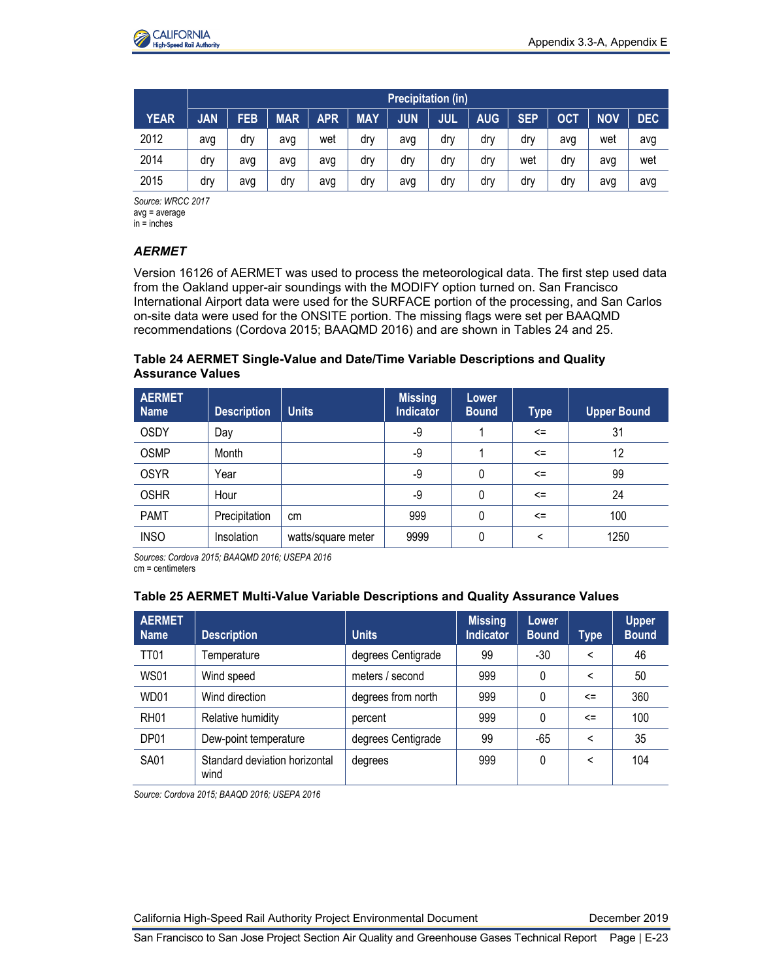

|             | <b>Precipitation (in)</b> |            |            |     |            |            |            |            |            |            |            |            |
|-------------|---------------------------|------------|------------|-----|------------|------------|------------|------------|------------|------------|------------|------------|
| <b>YEAR</b> | <b>JAN</b>                | <b>FEB</b> | <b>MAR</b> | APR | <b>MAY</b> | <b>JUN</b> | <b>JUL</b> | <b>AUG</b> | <b>SEP</b> | <b>OCT</b> | <b>NOV</b> | <b>DEC</b> |
| 2012        | avg                       | drv        | avg        | wet | dry        | avg        | dry        | dry        | drv        | avg        | wet        | avg        |
| 2014        | dry                       | avg        | avg        | avg | dry        | dry        | dry        | dry        | wet        | drv        | avg        | wet        |
| 2015        | drv                       | avg        | drv        | avg | drv        | avg        | drv        | dry        | drv        | drv        | avg        | avg        |

*Source: WRCC 2017* avg = average in = inches

## *AERMET*

Version 16126 of AERMET was used to process the meteorological data. The first step used data from the Oakland upper-air soundings with the MODIFY option turned on. San Francisco International Airport data were used for the SURFACE portion of the processing, and San Carlos on-site data were used for the ONSITE portion. The missing flags were set per BAAQMD recommendations (Cordova 2015; BAAQMD 2016) and are shown in Tables 24 and 25.

### **Table 24 AERMET Single-Value and Date/Time Variable Descriptions and Quality Assurance Values**

| <b>AERMET</b><br><b>Name</b> | <b>Description</b> | <b>Units</b>       | <b>Missing</b><br><b>Indicator</b> | Lower<br><b>Bound</b> | <b>Type</b>  | <b>Upper Bound</b> |
|------------------------------|--------------------|--------------------|------------------------------------|-----------------------|--------------|--------------------|
| <b>OSDY</b>                  | Day                |                    | -9                                 |                       | $\leq$       | 31                 |
| <b>OSMP</b>                  | Month              |                    | -9                                 |                       | $\leq$       | 12                 |
| <b>OSYR</b>                  | Year               |                    | -9                                 | 0                     | $\leq$       | 99                 |
| <b>OSHR</b>                  | Hour               |                    | -9                                 | 0                     | $\leq$       | 24                 |
| <b>PAMT</b>                  | Precipitation      | cm                 | 999                                | 0                     | $\leq$       | 100                |
| <b>INSO</b>                  | Insolation         | watts/square meter | 9999                               | 0                     | $\checkmark$ | 1250               |

*Sources: Cordova 2015; BAAQMD 2016; USEPA 2016* cm = centimeters

## **Table 25 AERMET Multi-Value Variable Descriptions and Quality Assurance Values**

| <b>AERMET</b><br><b>Name</b> | <b>Description</b>                    | <b>Units</b>       | <b>Missing</b><br><b>Indicator</b> | Lower<br><b>Bound</b> | <b>Type</b> | <b>Upper</b><br><b>Bound</b> |
|------------------------------|---------------------------------------|--------------------|------------------------------------|-----------------------|-------------|------------------------------|
| <b>TT01</b>                  | Temperature                           | degrees Centigrade | 99                                 | $-30$                 | $\,<\,$     | 46                           |
| <b>WS01</b>                  | Wind speed                            | meters / second    | 999                                | 0                     | $\,<\,$     | 50                           |
| WD01                         | Wind direction                        | degrees from north | 999                                | 0                     | $\leq$      | 360                          |
| <b>RH01</b>                  | Relative humidity                     | percent            | 999                                | 0                     | $\leq$      | 100                          |
| DP01                         | Dew-point temperature                 | degrees Centigrade | 99                                 | -65                   | $\,<\,$     | 35                           |
| <b>SA01</b>                  | Standard deviation horizontal<br>wind | degrees            | 999                                | 0                     | $\,<\,$     | 104                          |

*Source: Cordova 2015; BAAQD 2016; USEPA 2016*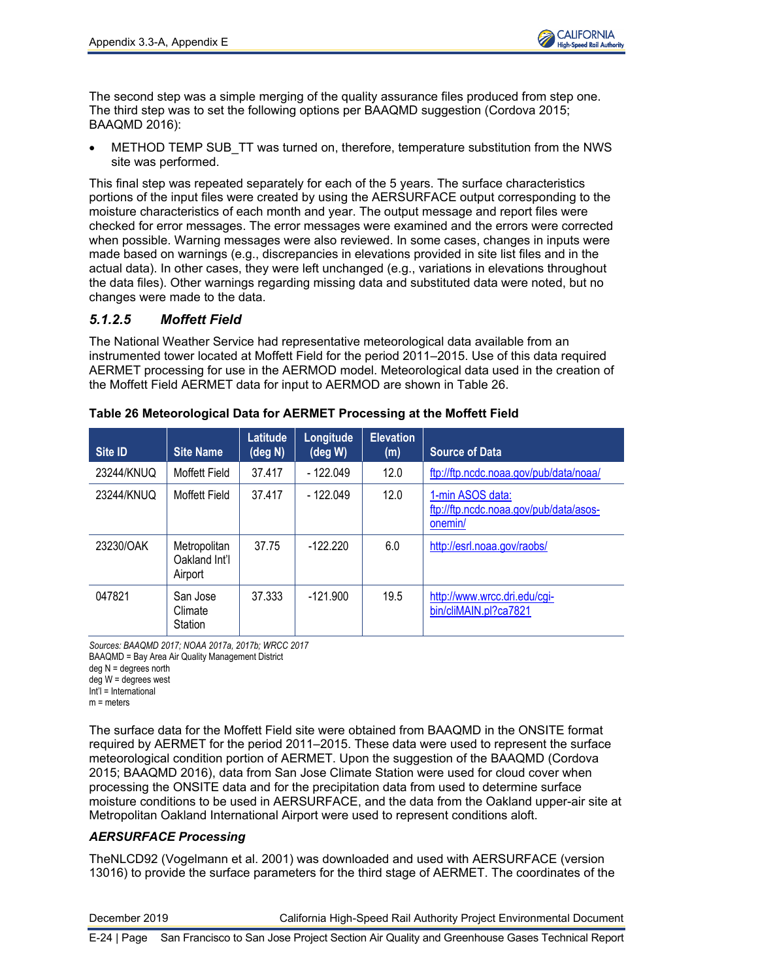The second step was a simple merging of the quality assurance files produced from step one. The third step was to set the following options per BAAQMD suggestion (Cordova 2015; BAAQMD 2016):

METHOD TEMP SUB TT was turned on, therefore, temperature substitution from the NWS site was performed.

This final step was repeated separately for each of the 5 years. The surface characteristics portions of the input files were created by using the AERSURFACE output corresponding to the moisture characteristics of each month and year. The output message and report files were checked for error messages. The error messages were examined and the errors were corrected when possible. Warning messages were also reviewed. In some cases, changes in inputs were made based on warnings (e.g., discrepancies in elevations provided in site list files and in the actual data). In other cases, they were left unchanged (e.g., variations in elevations throughout the data files). Other warnings regarding missing data and substituted data were noted, but no changes were made to the data.

## *5.1.2.5 Moffett Field*

The National Weather Service had representative meteorological data available from an instrumented tower located at Moffett Field for the period 2011–2015. Use of this data required AERMET processing for use in the AERMOD model. Meteorological data used in the creation of the Moffett Field AERMET data for input to AERMOD are shown in Table 26.

| Site ID    | <b>Site Name</b>                         | <b>Latitude</b><br>(deg N) | Longitude<br>$(\deg W)$ | <b>Elevation</b><br>(m) | <b>Source of Data</b>                                                 |
|------------|------------------------------------------|----------------------------|-------------------------|-------------------------|-----------------------------------------------------------------------|
| 23244/KNUQ | Moffett Field                            | 37.417                     | $-122.049$              | 12.0                    | ftp://ftp.ncdc.noaa.gov/pub/data/noaa/                                |
| 23244/KNUQ | <b>Moffett Field</b>                     | 37.417                     | $-122.049$              | 12.0                    | 1-min ASOS data:<br>ftp://ftp.ncdc.noaa.gov/pub/data/asos-<br>onemin/ |
| 23230/OAK  | Metropolitan<br>Oakland Int'l<br>Airport | 37.75                      | $-122.220$              | 6.0                     | http://esrl.noaa.gov/raobs/                                           |
| 047821     | San Jose<br>Climate<br>Station           | 37.333                     | $-121.900$              | 19.5                    | http://www.wrcc.dri.edu/cgi-<br>bin/cliMAIN.pl?ca7821                 |

**Table 26 Meteorological Data for AERMET Processing at the Moffett Field**

*Sources: BAAQMD 2017; NOAA 2017a, 2017b; WRCC 2017* BAAQMD = Bay Area Air Quality Management District deg N = degrees north deg W = degrees west Int'l = International m = meters

The surface data for the Moffett Field site were obtained from BAAQMD in the ONSITE format required by AERMET for the period 2011–2015. These data were used to represent the surface meteorological condition portion of AERMET. Upon the suggestion of the BAAQMD (Cordova 2015; BAAQMD 2016), data from San Jose Climate Station were used for cloud cover when processing the ONSITE data and for the precipitation data from used to determine surface moisture conditions to be used in AERSURFACE, and the data from the Oakland upper-air site at Metropolitan Oakland International Airport were used to represent conditions aloft.

## *AERSURFACE Processing*

TheNLCD92 (Vogelmann et al. 2001) was downloaded and used with AERSURFACE (version 13016) to provide the surface parameters for the third stage of AERMET. The coordinates of the

```
December 2019 California High-Speed Rail Authority Project Environmental Document
E-24 | Page San Francisco to San Jose Project Section Air Quality and Greenhouse Gases Technical Report
```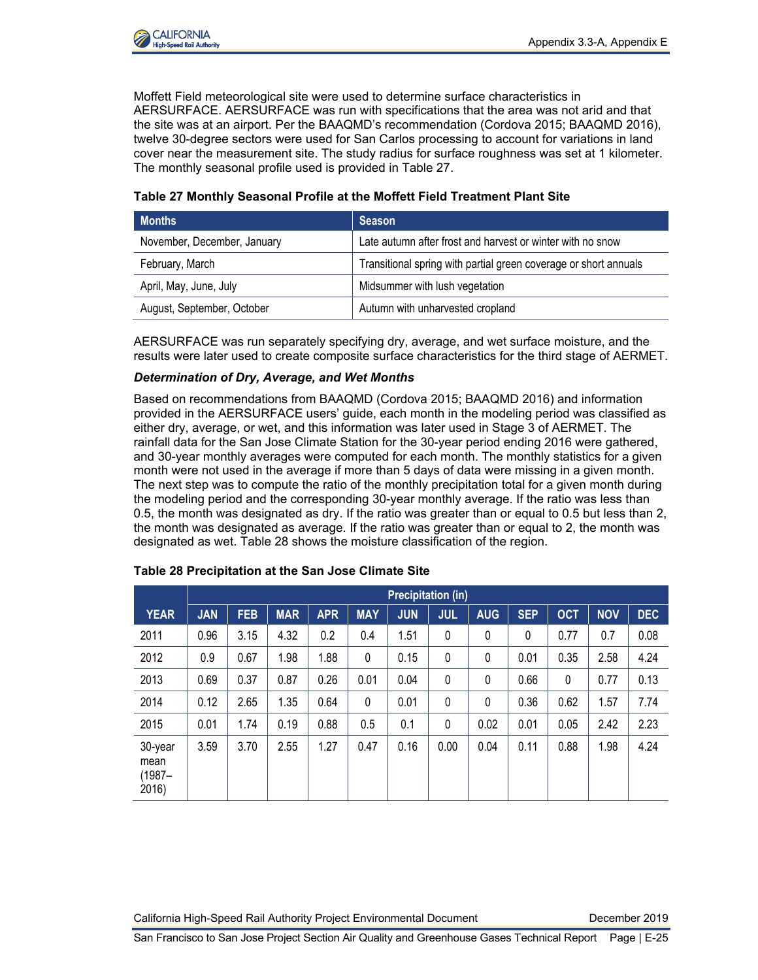

Moffett Field meteorological site were used to determine surface characteristics in AERSURFACE. AERSURFACE was run with specifications that the area was not arid and that the site was at an airport. Per the BAAQMD's recommendation (Cordova 2015; BAAQMD 2016), twelve 30-degree sectors were used for San Carlos processing to account for variations in land cover near the measurement site. The study radius for surface roughness was set at 1 kilometer. The monthly seasonal profile used is provided in Table 27.

| <b>Months</b>               | <b>Season</b>                                                    |
|-----------------------------|------------------------------------------------------------------|
| November, December, January | Late autumn after frost and harvest or winter with no snow       |
| February, March             | Transitional spring with partial green coverage or short annuals |
| April, May, June, July      | Midsummer with lush vegetation                                   |
| August, September, October  | Autumn with unharvested cropland                                 |

**Table 27 Monthly Seasonal Profile at the Moffett Field Treatment Plant Site**

AERSURFACE was run separately specifying dry, average, and wet surface moisture, and the results were later used to create composite surface characteristics for the third stage of AERMET.

#### *Determination of Dry, Average, and Wet Months*

Based on recommendations from BAAQMD (Cordova 2015; BAAQMD 2016) and information provided in the AERSURFACE users' guide, each month in the modeling period was classified as either dry, average, or wet, and this information was later used in Stage 3 of AERMET. The rainfall data for the San Jose Climate Station for the 30-year period ending 2016 were gathered, and 30-year monthly averages were computed for each month. The monthly statistics for a given month were not used in the average if more than 5 days of data were missing in a given month. The next step was to compute the ratio of the monthly precipitation total for a given month during the modeling period and the corresponding 30-year monthly average. If the ratio was less than 0.5, the month was designated as dry. If the ratio was greater than or equal to 0.5 but less than 2, the month was designated as average. If the ratio was greater than or equal to 2, the month was designated as wet. Table 28 shows the moisture classification of the region.

|                                       | <b>Precipitation (in)</b> |            |            |            |            |            |              |            |            |            |            |            |
|---------------------------------------|---------------------------|------------|------------|------------|------------|------------|--------------|------------|------------|------------|------------|------------|
| <b>YEAR</b>                           | <b>JAN</b>                | <b>FEB</b> | <b>MAR</b> | <b>APR</b> | <b>MAY</b> | <b>JUN</b> | <b>JUL</b>   | <b>AUG</b> | <b>SEP</b> | <b>OCT</b> | <b>NOV</b> | <b>DEC</b> |
| 2011                                  | 0.96                      | 3.15       | 4.32       | 0.2        | 0.4        | 1.51       | $\mathbf{0}$ | 0          | 0          | 0.77       | 0.7        | 0.08       |
| 2012                                  | 0.9                       | 0.67       | 1.98       | 1.88       | 0          | 0.15       | $\mathbf{0}$ | 0          | 0.01       | 0.35       | 2.58       | 4.24       |
| 2013                                  | 0.69                      | 0.37       | 0.87       | 0.26       | 0.01       | 0.04       | 0            | 0          | 0.66       | 0          | 0.77       | 0.13       |
| 2014                                  | 0.12                      | 2.65       | 1.35       | 0.64       | 0          | 0.01       | $\mathbf 0$  | 0          | 0.36       | 0.62       | 1.57       | 7.74       |
| 2015                                  | 0.01                      | 1.74       | 0.19       | 0.88       | 0.5        | 0.1        | 0            | 0.02       | 0.01       | 0.05       | 2.42       | 2.23       |
| 30-year<br>mean<br>$(1987 -$<br>2016) | 3.59                      | 3.70       | 2.55       | 1.27       | 0.47       | 0.16       | 0.00         | 0.04       | 0.11       | 0.88       | 1.98       | 4.24       |

#### **Table 28 Precipitation at the San Jose Climate Site**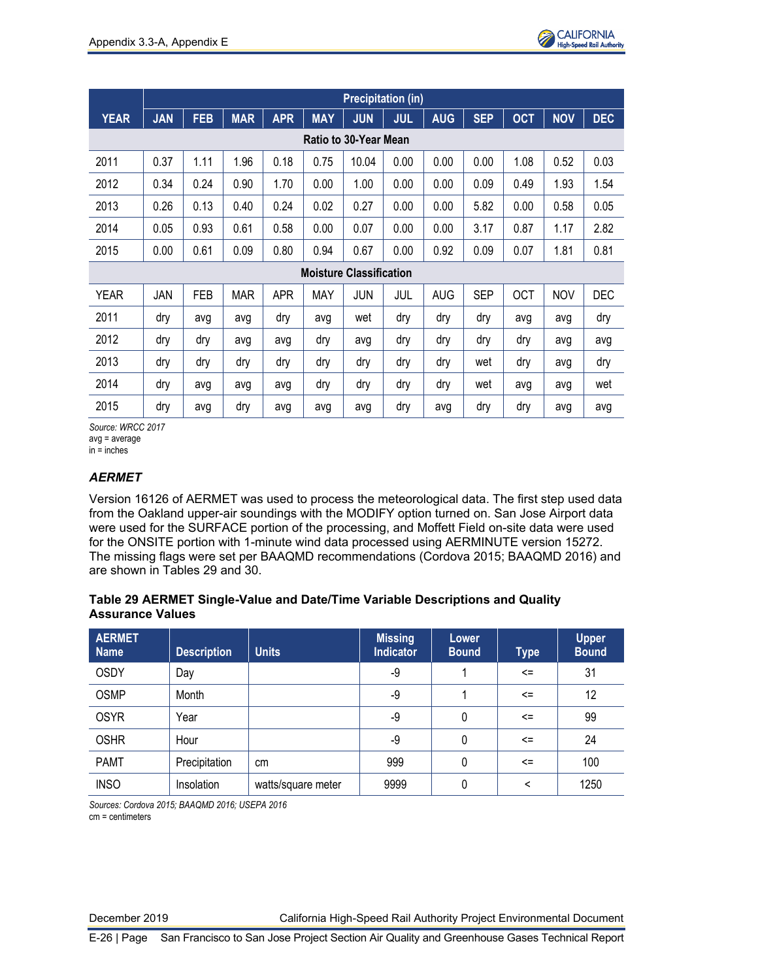

|                              |            |            |            |            |            | <b>Precipitation (in)</b>      |            |            |            |            |            |            |
|------------------------------|------------|------------|------------|------------|------------|--------------------------------|------------|------------|------------|------------|------------|------------|
| <b>YEAR</b>                  | <b>JAN</b> | <b>FEB</b> | <b>MAR</b> | <b>APR</b> | <b>MAY</b> | <b>JUN</b>                     | <b>JUL</b> | <b>AUG</b> | <b>SEP</b> | <b>OCT</b> | <b>NOV</b> | <b>DEC</b> |
| <b>Ratio to 30-Year Mean</b> |            |            |            |            |            |                                |            |            |            |            |            |            |
| 2011                         | 0.37       | 1.11       | 1.96       | 0.18       | 0.75       | 10.04                          | 0.00       | 0.00       | 0.00       | 1.08       | 0.52       | 0.03       |
| 2012                         | 0.34       | 0.24       | 0.90       | 1.70       | 0.00       | 1.00                           | 0.00       | 0.00       | 0.09       | 0.49       | 1.93       | 1.54       |
| 2013                         | 0.26       | 0.13       | 0.40       | 0.24       | 0.02       | 0.27                           | 0.00       | 0.00       | 5.82       | 0.00       | 0.58       | 0.05       |
| 2014                         | 0.05       | 0.93       | 0.61       | 0.58       | 0.00       | 0.07                           | 0.00       | 0.00       | 3.17       | 0.87       | 1.17       | 2.82       |
| 2015                         | 0.00       | 0.61       | 0.09       | 0.80       | 0.94       | 0.67                           | 0.00       | 0.92       | 0.09       | 0.07       | 1.81       | 0.81       |
|                              |            |            |            |            |            | <b>Moisture Classification</b> |            |            |            |            |            |            |
| <b>YEAR</b>                  | JAN        | FEB        | <b>MAR</b> | <b>APR</b> | <b>MAY</b> | JUN                            | JUL        | <b>AUG</b> | <b>SEP</b> | <b>OCT</b> | <b>NOV</b> | DEC        |
| 2011                         | dry        | avg        | avg        | dry        | avg        | wet                            | dry        | dry        | dry        | avg        | avg        | dry        |
| 2012                         | dry        | dry        | avg        | avg        | dry        | avg                            | dry        | dry        | dry        | dry        | avg        | avg        |
| 2013                         | dry        | dry        | dry        | dry        | dry        | dry                            | dry        | dry        | wet        | dry        | avg        | dry        |
| 2014                         | dry        | avg        | avg        | avg        | dry        | dry                            | dry        | dry        | wet        | avg        | avg        | wet        |
| 2015                         | dry        | avg        | dry        | avg        | avg        | avg                            | dry        | avg        | dry        | dry        | avg        | avg        |

*Source: WRCC 2017* avg = average

in = inches

## *AERMET*

Version 16126 of AERMET was used to process the meteorological data. The first step used data from the Oakland upper-air soundings with the MODIFY option turned on. San Jose Airport data were used for the SURFACE portion of the processing, and Moffett Field on-site data were used for the ONSITE portion with 1-minute wind data processed using AERMINUTE version 15272. The missing flags were set per BAAQMD recommendations (Cordova 2015; BAAQMD 2016) and are shown in Tables 29 and 30.

#### **Table 29 AERMET Single-Value and Date/Time Variable Descriptions and Quality Assurance Values**

| <b>AERMET</b><br><b>Name</b> | <b>Description</b> | <b>Units</b>       | <b>Missing</b><br><b>Indicator</b> | Lower<br><b>Bound</b> | <b>Type</b> | <b>Upper</b><br><b>Bound</b> |
|------------------------------|--------------------|--------------------|------------------------------------|-----------------------|-------------|------------------------------|
| <b>OSDY</b>                  | Day                |                    | -9                                 |                       | $\leq$      | 31                           |
| <b>OSMP</b>                  | Month              |                    | -9                                 |                       | $\leq$      | 12                           |
| <b>OSYR</b>                  | Year               |                    | -9                                 | 0                     | $\leq$      | 99                           |
| <b>OSHR</b>                  | Hour               |                    | -9                                 | 0                     | $\leq$      | 24                           |
| <b>PAMT</b>                  | Precipitation      | cm                 | 999                                | 0                     | $\leq$      | 100                          |
| <b>INSO</b>                  | Insolation         | watts/square meter | 9999                               | 0                     | <           | 1250                         |

*Sources: Cordova 2015; BAAQMD 2016; USEPA 2016* cm = centimeters

December 2019 California High-Speed Rail Authority Project Environmental Document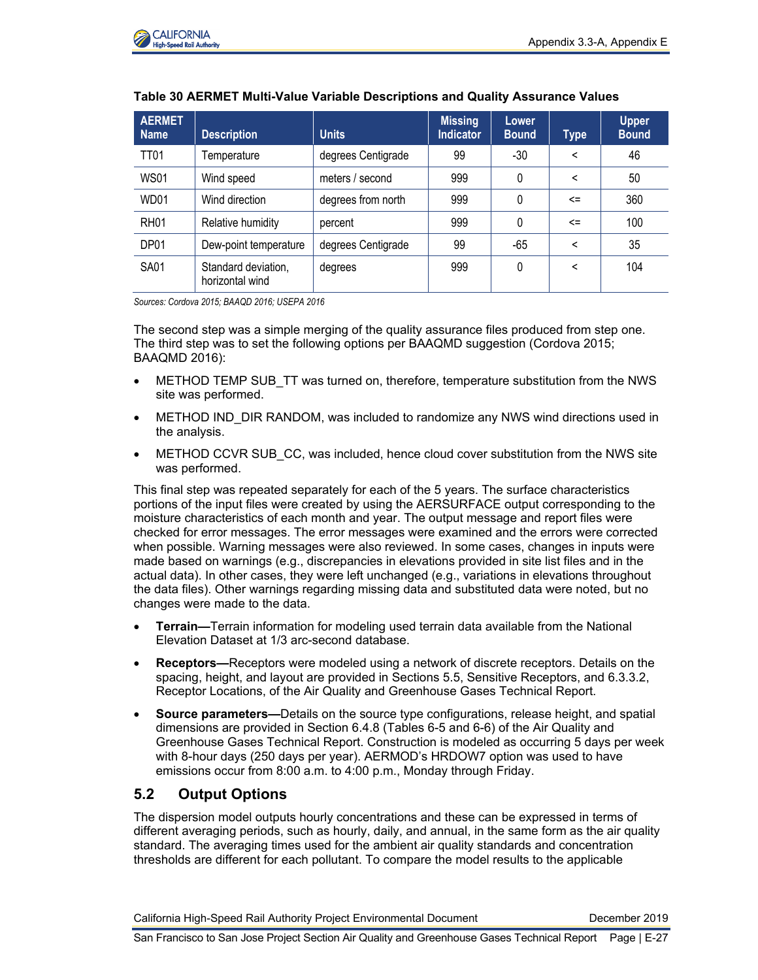

| <b>AERMET</b><br><b>Name</b> | <b>Description</b>                     | <b>Units</b>       | <b>Missing</b><br><b>Indicator</b> | Lower<br><b>Bound</b> | Type   | <b>Upper</b><br><b>Bound</b> |
|------------------------------|----------------------------------------|--------------------|------------------------------------|-----------------------|--------|------------------------------|
| <b>TT01</b>                  | Temperature                            | degrees Centigrade | 99                                 | $-30$                 | <      | 46                           |
| <b>WS01</b>                  | Wind speed                             | meters / second    | 999                                | 0                     | <      | 50                           |
| WD01                         | Wind direction                         | degrees from north | 999                                | 0                     | $\leq$ | 360                          |
| <b>RH01</b>                  | Relative humidity                      | percent            | 999                                | 0                     | $\leq$ | 100                          |
| DP01                         | Dew-point temperature                  | degrees Centigrade | 99                                 | -65                   | <      | 35                           |
| <b>SA01</b>                  | Standard deviation,<br>horizontal wind | degrees            | 999                                | 0                     | <      | 104                          |

### **Table 30 AERMET Multi-Value Variable Descriptions and Quality Assurance Values**

*Sources: Cordova 2015; BAAQD 2016; USEPA 2016*

The second step was a simple merging of the quality assurance files produced from step one. The third step was to set the following options per BAAQMD suggestion (Cordova 2015; BAAQMD 2016):

- METHOD TEMP SUB\_TT was turned on, therefore, temperature substitution from the NWS site was performed.
- METHOD IND DIR RANDOM, was included to randomize any NWS wind directions used in the analysis.
- METHOD CCVR SUB CC, was included, hence cloud cover substitution from the NWS site was performed.

This final step was repeated separately for each of the 5 years. The surface characteristics portions of the input files were created by using the AERSURFACE output corresponding to the moisture characteristics of each month and year. The output message and report files were checked for error messages. The error messages were examined and the errors were corrected when possible. Warning messages were also reviewed. In some cases, changes in inputs were made based on warnings (e.g., discrepancies in elevations provided in site list files and in the actual data). In other cases, they were left unchanged (e.g., variations in elevations throughout the data files). Other warnings regarding missing data and substituted data were noted, but no changes were made to the data.

- **Terrain—**Terrain information for modeling used terrain data available from the National Elevation Dataset at 1/3 arc-second database.
- **Receptors—**Receptors were modeled using a network of discrete receptors. Details on the spacing, height, and layout are provided in Sections 5.5, Sensitive Receptors, and 6.3.3.2, Receptor Locations, of the Air Quality and Greenhouse Gases Technical Report.
- **Source parameters—**Details on the source type configurations, release height, and spatial dimensions are provided in Section 6.4.8 (Tables 6-5 and 6-6) of the Air Quality and Greenhouse Gases Technical Report. Construction is modeled as occurring 5 days per week with 8-hour days (250 days per year). AERMOD's HRDOW7 option was used to have emissions occur from 8:00 a.m. to 4:00 p.m., Monday through Friday.

## **5.2 Output Options**

The dispersion model outputs hourly concentrations and these can be expressed in terms of different averaging periods, such as hourly, daily, and annual, in the same form as the air quality standard. The averaging times used for the ambient air quality standards and concentration thresholds are different for each pollutant. To compare the model results to the applicable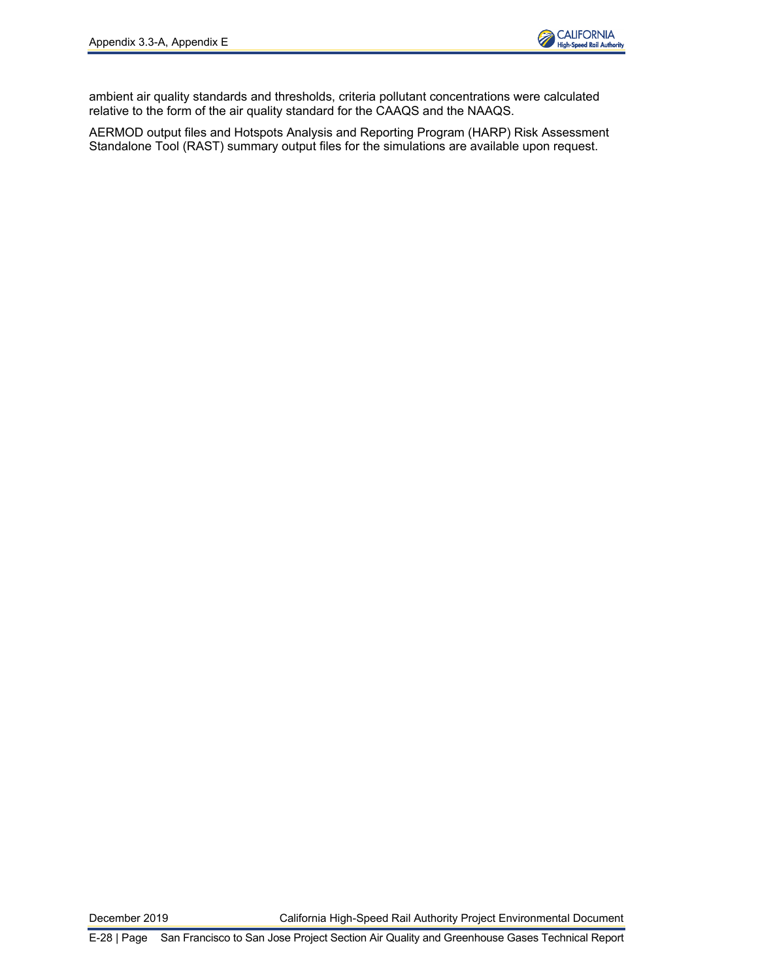

ambient air quality standards and thresholds, criteria pollutant concentrations were calculated relative to the form of the air quality standard for the CAAQS and the NAAQS.

AERMOD output files and Hotspots Analysis and Reporting Program (HARP) Risk Assessment Standalone Tool (RAST) summary output files for the simulations are available upon request.

December 2019 California High-Speed Rail Authority Project Environmental Document